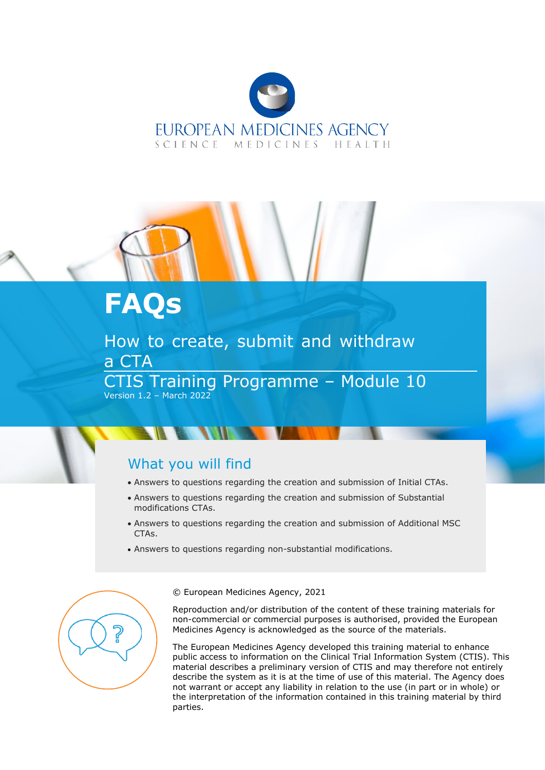

# **FAQs**

How to create, submit and withdraw a CTA CTIS Training Programme – Module 10 Version 1.2 – March 2022

## What you will find

- Answers to questions regarding the creation and submission of Initial CTAs.
- Answers to questions regarding the creation and submission of Substantial modifications CTAs.
- Answers to questions regarding the creation and submission of Additional MSC CTAs.
- Answers to questions regarding non-substantial modifications.



© European Medicines Agency, 2021

Reproduction and/or distribution of the content of these training materials for non-commercial or commercial purposes is authorised, provided the European Medicines Agency is acknowledged as the source of the materials.

The European Medicines Agency developed this training material to enhance public access to information on the Clinical Trial Information System (CTIS). This material describes a preliminary version of CTIS and may therefore not entirely describe the system as it is at the time of use of this material. The Agency does not warrant or accept any liability in relation to the use (in part or in whole) or the interpretation of the information contained in this training material by third parties.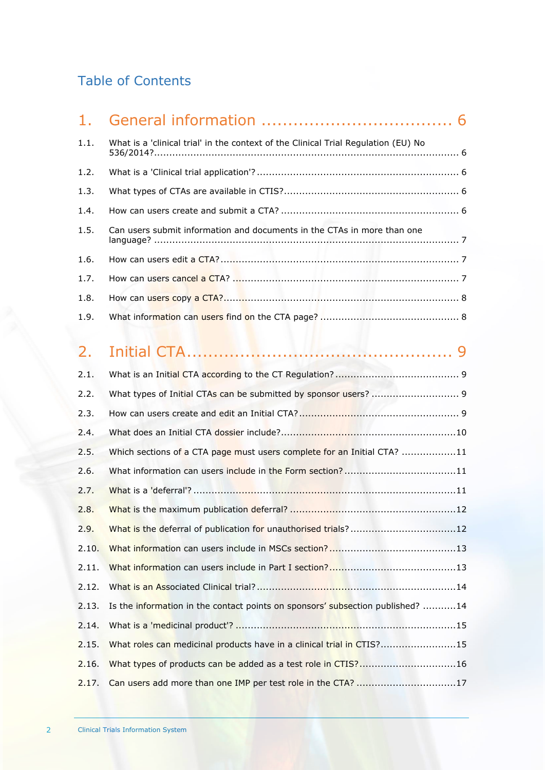## Table of Contents

| 1.1. | What is a 'clinical trial' in the context of the Clinical Trial Regulation (EU) No |  |
|------|------------------------------------------------------------------------------------|--|
| 1.2. |                                                                                    |  |
| 1.3. |                                                                                    |  |
| 1.4. |                                                                                    |  |
| 1.5. | Can users submit information and documents in the CTAs in more than one            |  |
| 1.6. |                                                                                    |  |
| 1.7. |                                                                                    |  |
| 1.8. |                                                                                    |  |
| 1.9. |                                                                                    |  |
|      |                                                                                    |  |

# 2. [Initial CTA..................................................](#page-8-0) 9

| 2.1.  |                                                                                |
|-------|--------------------------------------------------------------------------------|
| 2.2.  |                                                                                |
| 2.3.  |                                                                                |
| 2.4.  |                                                                                |
| 2.5.  | Which sections of a CTA page must users complete for an Initial CTA? 11        |
| 2.6.  | What information can users include in the Form section?11                      |
| 2.7.  |                                                                                |
| 2.8.  |                                                                                |
| 2.9.  |                                                                                |
| 2.10. |                                                                                |
| 2.11. |                                                                                |
| 2.12. |                                                                                |
| 2.13. | Is the information in the contact points on sponsors' subsection published? 14 |
| 2.14. |                                                                                |
| 2.15. | What roles can medicinal products have in a clinical trial in CTIS?15          |
| 2.16. | What types of products can be added as a test role in CTIS?16                  |
| 2.17. |                                                                                |
|       |                                                                                |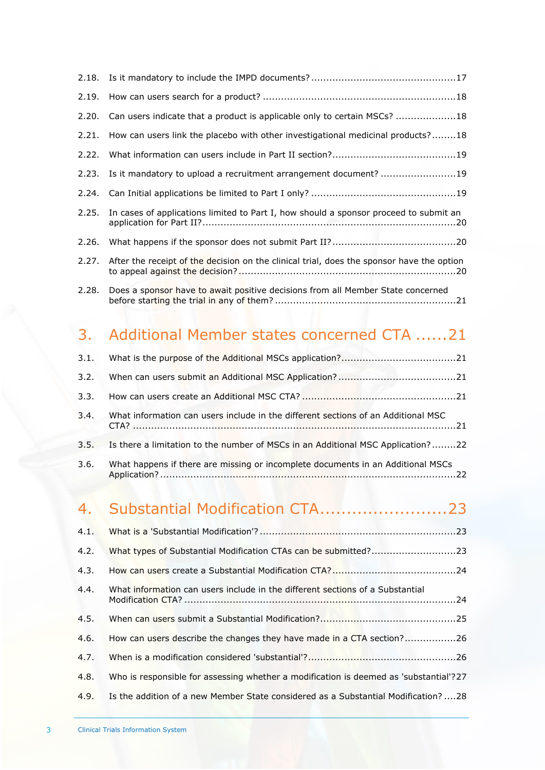|       | 2.20. Can users indicate that a product is applicable only to certain MSCs? 18              |
|-------|---------------------------------------------------------------------------------------------|
|       | 2.21. How can users link the placebo with other investigational medicinal products?18       |
|       |                                                                                             |
|       | 2.23. Is it mandatory to upload a recruitment arrangement document? 19                      |
|       |                                                                                             |
|       | 2.25. In cases of applications limited to Part I, how should a sponsor proceed to submit an |
| 2.26. |                                                                                             |
| 2.27. | After the receipt of the decision on the clinical trial, does the sponsor have the option   |
|       | 2.28. Does a sponsor have to await positive decisions from all Member State concerned       |

## 3. [Additional Member states concerned CTA](#page-20-1) ......21

| 3.2. |                                                                                      |  |
|------|--------------------------------------------------------------------------------------|--|
| 3.3. |                                                                                      |  |
| 3.4. | What information can users include in the different sections of an Additional MSC    |  |
|      | 3.5. Is there a limitation to the number of MSCs in an Additional MSC Application?22 |  |
| 3.6. | What happens if there are missing or incomplete documents in an Additional MSCs      |  |

## 4. [Substantial Modification CTA........................23](#page-22-0)

| 4.2. | What types of Substantial Modification CTAs can be submitted?23                       |  |
|------|---------------------------------------------------------------------------------------|--|
| 4.3. |                                                                                       |  |
| 4.4. | What information can users include in the different sections of a Substantial         |  |
| 4.5. |                                                                                       |  |
| 4.6. | How can users describe the changes they have made in a CTA section?26                 |  |
| 4.7. |                                                                                       |  |
| 4.8. | Who is responsible for assessing whether a modification is deemed as 'substantial'?27 |  |
| 4.9. | Is the addition of a new Member State considered as a Substantial Modification?28     |  |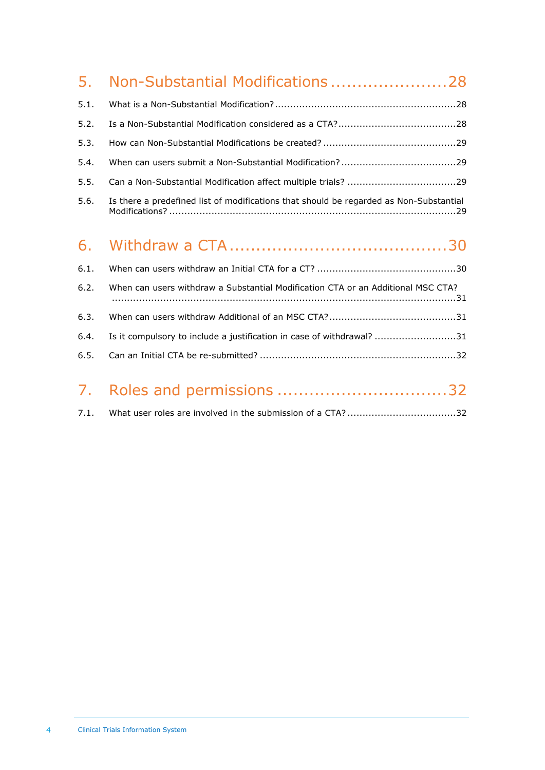|      | 5. Non-Substantial Modifications28                                                     |
|------|----------------------------------------------------------------------------------------|
| 5.1. |                                                                                        |
| 5.2. |                                                                                        |
| 5.3. |                                                                                        |
| 5.4. |                                                                                        |
| 5.5. |                                                                                        |
| 5.6. | Is there a predefined list of modifications that should be regarded as Non-Substantial |
|      |                                                                                        |
| 6.1. |                                                                                        |
| 6.2. | When can users withdraw a Substantial Modification CTA or an Additional MSC CTA?       |
| 6.3. |                                                                                        |

6.4. [Is it compulsory to include a justification in case of withdrawal?](#page-30-2) ...........................31 6.5. Can an Initial CTA be re-submitted? [.................................................................32](#page-31-0)

| 7. Roles and permissions 32 |  |
|-----------------------------|--|
|                             |  |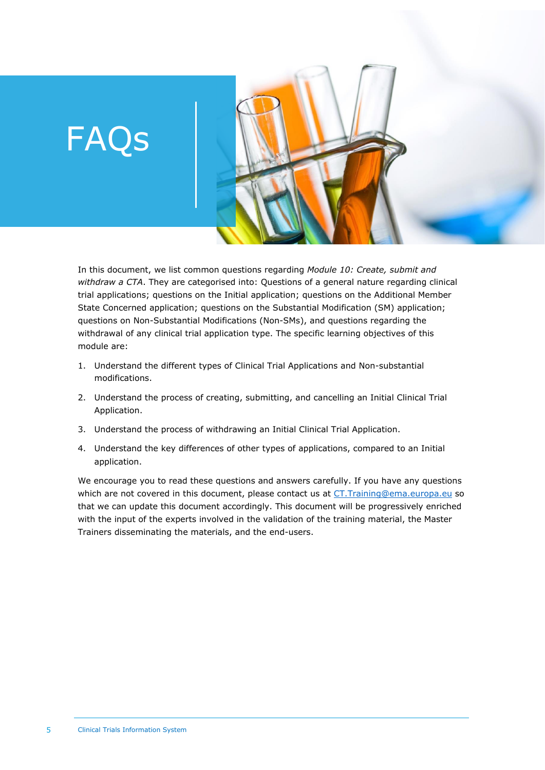# FAQs



- 1. Understand the different types of Clinical Trial Applications and Non-substantial modifications.
- 2. Understand the process of creating, submitting, and cancelling an Initial Clinical Trial Application.
- 3. Understand the process of withdrawing an Initial Clinical Trial Application.
- 4. Understand the key differences of other types of applications, compared to an Initial application.

We encourage you to read these questions and answers carefully. If you have any questions which are not covered in this document, please contact us at [CT.Training@ema.europa.eu](mailto:CT.Training@ema.europa.eu) so that we can update this document accordingly. This document will be progressively enriched with the input of the experts involved in the validation of the training material, the Master Trainers disseminating the materials, and the end-users.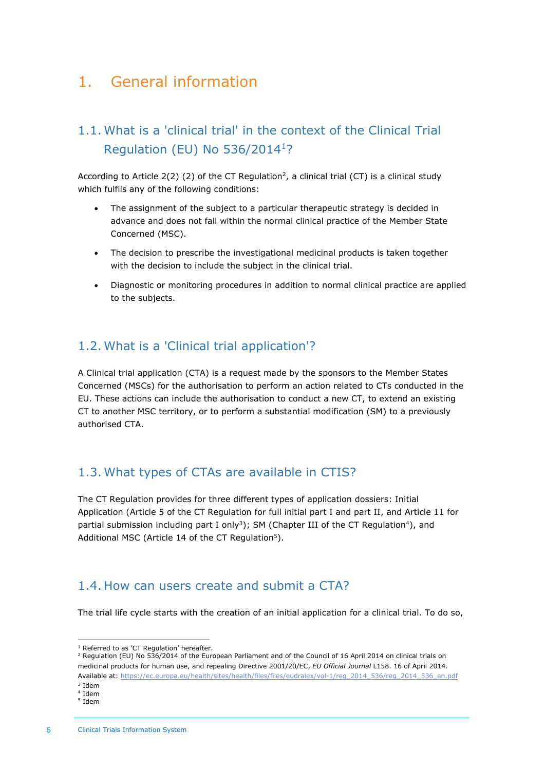## <span id="page-5-1"></span><span id="page-5-0"></span>1. General information

## 1.1. What is a 'clinical trial' in the context of the Clinical Trial Regulation (EU) No 536/2014<sup>1</sup>?

According to Article  $2(2)$  (2) of the CT Regulation<sup>2</sup>, a clinical trial (CT) is a clinical study which fulfils any of the following conditions:

- The assignment of the subject to a particular therapeutic strategy is decided in advance and does not fall within the normal clinical practice of the Member State Concerned (MSC).
- The decision to prescribe the investigational medicinal products is taken together with the decision to include the subject in the clinical trial.
- Diagnostic or monitoring procedures in addition to normal clinical practice are applied to the subjects.

#### <span id="page-5-2"></span>1.2. What is a 'Clinical trial application'?

A Clinical trial application (CTA) is a request made by the sponsors to the Member States Concerned (MSCs) for the authorisation to perform an action related to CTs conducted in the EU. These actions can include the authorisation to conduct a new CT, to extend an existing CT to another MSC territory, or to perform a substantial modification (SM) to a previously authorised CTA.

#### <span id="page-5-3"></span>1.3. What types of CTAs are available in CTIS?

The CT Regulation provides for three different types of application dossiers: Initial Application (Article 5 of the CT Regulation for full initial part I and part II, and Article 11 for partial submission including part I only<sup>3</sup>); SM (Chapter III of the CT Regulation<sup>4</sup>), and Additional MSC (Article 14 of the CT Regulation<sup>5</sup>).

#### <span id="page-5-4"></span>1.4. How can users create and submit a CTA?

The trial life cycle starts with the creation of an initial application for a clinical trial. To do so,

<sup>2</sup> Regulation (EU) No 536/2014 of the European Parliament and of the Council of 16 April 2014 on clinical trials on medicinal products for human use, and repealing Directive 2001/20/EC, *EU Official Journal* L158. 16 of April 2014. Available at: [https://ec.europa.eu/health/sites/health/files/files/eudralex/vol-1/reg\\_2014\\_536/reg\\_2014\\_536\\_en.pdf](https://ec.europa.eu/health/sites/health/files/files/eudralex/vol-1/reg_2014_536/reg_2014_536_en.pdf)

<sup>&</sup>lt;sup>1</sup> Referred to as 'CT Regulation' hereafter

<sup>3</sup> Idem 4 Idem

<sup>5</sup> Idem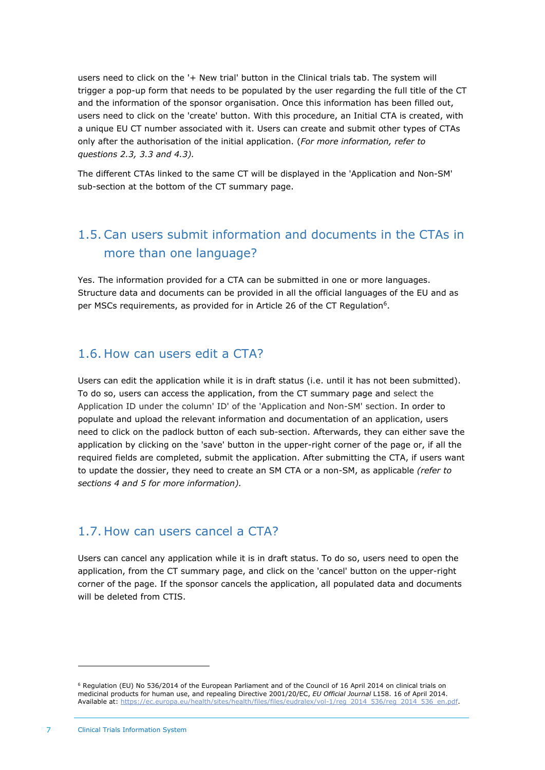users need to click on the '+ New trial' button in the Clinical trials tab. The system will trigger a pop-up form that needs to be populated by the user regarding the full title of the CT and the information of the sponsor organisation. Once this information has been filled out, users need to click on the 'create' button. With this procedure, an Initial CTA is created, with a unique EU CT number associated with it. Users can create and submit other types of CTAs only after the authorisation of the initial application. (*For more information, refer to questions 2.3, 3.3 and 4.3).*

The different CTAs linked to the same CT will be displayed in the 'Application and Non-SM' sub-section at the bottom of the CT summary page.

## <span id="page-6-0"></span>1.5. Can users submit information and documents in the CTAs in more than one language?

Yes. The information provided for a CTA can be submitted in one or more languages. Structure data and documents can be provided in all the official languages of the EU and as per MSCs requirements, as provided for in Article 26 of the CT Regulation<sup>6</sup>.

#### <span id="page-6-1"></span>1.6. How can users edit a CTA?

Users can edit the application while it is in draft status (i.e. until it has not been submitted). To do so, users can access the application, from the CT summary page and select the Application ID under the column' ID' of the 'Application and Non-SM' section. In order to populate and upload the relevant information and documentation of an application, users need to click on the padlock button of each sub-section. Afterwards, they can either save the application by clicking on the 'save' button in the upper-right corner of the page or, if all the required fields are completed, submit the application. After submitting the CTA, if users want to update the dossier, they need to create an SM CTA or a non-SM, as applicable *(refer to sections 4 and 5 for more information).*

#### <span id="page-6-2"></span>1.7. How can users cancel a CTA?

Users can cancel any application while it is in draft status. To do so, users need to open the application, from the CT summary page, and click on the 'cancel' button on the upper-right corner of the page. If the sponsor cancels the application, all populated data and documents will be deleted from CTIS.

 $6$  Regulation (EU) No 536/2014 of the European Parliament and of the Council of 16 April 2014 on clinical trials on medicinal products for human use, and repealing Directive 2001/20/EC, *EU Official Journal* L158. 16 of April 2014. Available at: [https://ec.europa.eu/health/sites/health/files/files/eudralex/vol-1/reg\\_2014\\_536/reg\\_2014\\_536\\_en.pdf.](https://ec.europa.eu/health/sites/health/files/files/eudralex/vol-1/reg_2014_536/reg_2014_536_en.pdf)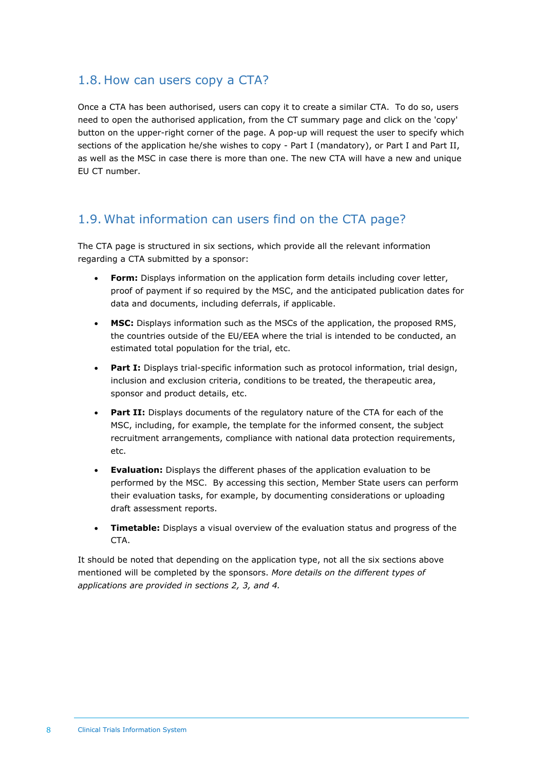#### <span id="page-7-0"></span>1.8. How can users copy a CTA?

Once a CTA has been authorised, users can copy it to create a similar CTA. To do so, users need to open the authorised application, from the CT summary page and click on the 'copy' button on the upper-right corner of the page. A pop-up will request the user to specify which sections of the application he/she wishes to copy - Part I (mandatory), or Part I and Part II, as well as the MSC in case there is more than one. The new CTA will have a new and unique EU CT number.

#### <span id="page-7-1"></span>1.9. What information can users find on the CTA page?

The CTA page is structured in six sections, which provide all the relevant information regarding a CTA submitted by a sponsor:

- **Form:** Displays information on the application form details including cover letter, proof of payment if so required by the MSC, and the anticipated publication dates for data and documents, including deferrals, if applicable.
- **MSC:** Displays information such as the MSCs of the application, the proposed RMS, the countries outside of the EU/EEA where the trial is intended to be conducted, an estimated total population for the trial, etc.
- **Part I:** Displays trial-specific information such as protocol information, trial design, inclusion and exclusion criteria, conditions to be treated, the therapeutic area, sponsor and product details, etc.
- **Part II:** Displays documents of the regulatory nature of the CTA for each of the MSC, including, for example, the template for the informed consent, the subject recruitment arrangements, compliance with national data protection requirements, etc.
- **Evaluation:** Displays the different phases of the application evaluation to be performed by the MSC. By accessing this section, Member State users can perform their evaluation tasks, for example, by documenting considerations or uploading draft assessment reports.
- **Timetable:** Displays a visual overview of the evaluation status and progress of the CTA.

It should be noted that depending on the application type, not all the six sections above mentioned will be completed by the sponsors. *More details on the different types of applications are provided in sections 2, 3, and 4.*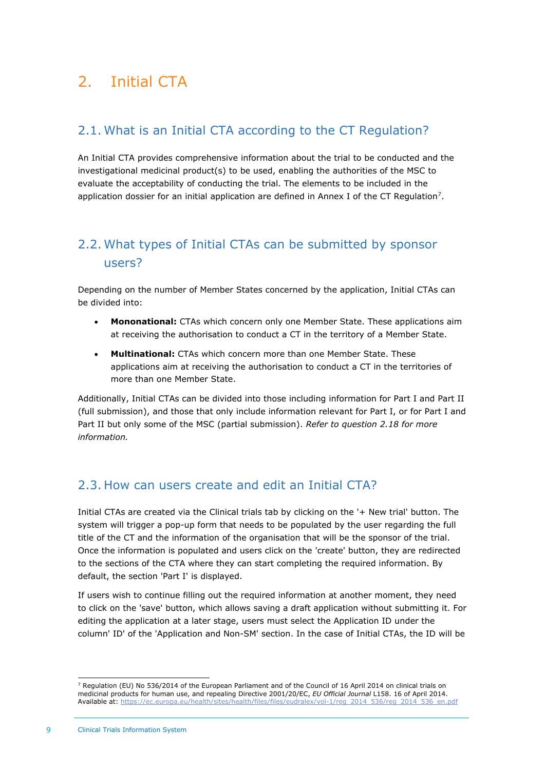## <span id="page-8-1"></span><span id="page-8-0"></span>2. Initial CTA

## 2.1. What is an Initial CTA according to the CT Regulation?

An Initial CTA provides comprehensive information about the trial to be conducted and the investigational medicinal product(s) to be used, enabling the authorities of the MSC to evaluate the acceptability of conducting the trial. The elements to be included in the application dossier for an initial application are defined in Annex I of the CT Regulation<sup>7</sup>.

## <span id="page-8-2"></span>2.2. What types of Initial CTAs can be submitted by sponsor users?

Depending on the number of Member States concerned by the application, Initial CTAs can be divided into:

- **Mononational:** CTAs which concern only one Member State. These applications aim at receiving the authorisation to conduct a CT in the territory of a Member State.
- **Multinational:** CTAs which concern more than one Member State. These applications aim at receiving the authorisation to conduct a CT in the territories of more than one Member State.

Additionally, Initial CTAs can be divided into those including information for Part I and Part II (full submission), and those that only include information relevant for Part I, or for Part I and Part II but only some of the MSC (partial submission). *Refer to question 2.18 for more information.*

## <span id="page-8-3"></span>2.3. How can users create and edit an Initial CTA?

Initial CTAs are created via the Clinical trials tab by clicking on the '+ New trial' button. The system will trigger a pop-up form that needs to be populated by the user regarding the full title of the CT and the information of the organisation that will be the sponsor of the trial. Once the information is populated and users click on the 'create' button, they are redirected to the sections of the CTA where they can start completing the required information. By default, the section 'Part I' is displayed.

If users wish to continue filling out the required information at another moment, they need to click on the 'save' button, which allows saving a draft application without submitting it. For editing the application at a later stage, users must select the Application ID under the column' ID' of the 'Application and Non-SM' section. In the case of Initial CTAs, the ID will be

<sup>&</sup>lt;sup>7</sup> Regulation (EU) No 536/2014 of the European Parliament and of the Council of 16 April 2014 on clinical trials on medicinal products for human use, and repealing Directive 2001/20/EC, *EU Official Journal* L158. 16 of April 2014. Available at: [https://ec.europa.eu/health/sites/health/files/files/eudralex/vol-1/reg\\_2014\\_536/reg\\_2014\\_536\\_en.pdf](https://ec.europa.eu/health/sites/health/files/files/eudralex/vol-1/reg_2014_536/reg_2014_536_en.pdf)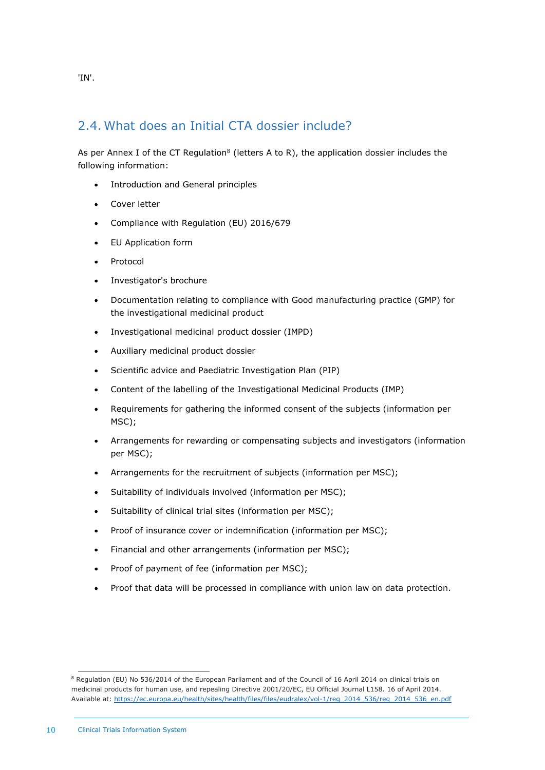#### 2.4. What does an Initial CTA dossier include?

As per Annex I of the CT Regulation<sup>8</sup> (letters A to R), the application dossier includes the following information:

- Introduction and General principles
- Cover letter
- Compliance with Regulation (EU) 2016/679
- EU Application form
- Protocol
- Investigator's brochure
- Documentation relating to compliance with Good manufacturing practice (GMP) for the investigational medicinal product
- Investigational medicinal product dossier (IMPD)
- Auxiliary medicinal product dossier
- Scientific advice and Paediatric Investigation Plan (PIP)
- Content of the labelling of the Investigational Medicinal Products (IMP)
- Requirements for gathering the informed consent of the subjects (information per MSC);
- Arrangements for rewarding or compensating subjects and investigators (information per MSC);
- Arrangements for the recruitment of subjects (information per MSC);
- Suitability of individuals involved (information per MSC);
- Suitability of clinical trial sites (information per MSC);
- Proof of insurance cover or indemnification (information per MSC);
- Financial and other arrangements (information per MSC);
- Proof of payment of fee (information per MSC);
- Proof that data will be processed in compliance with union law on data protection.

<span id="page-9-0"></span>'IN'.

<sup>8</sup> Regulation (EU) No 536/2014 of the European Parliament and of the Council of 16 April 2014 on clinical trials on medicinal products for human use, and repealing Directive 2001/20/EC, EU Official Journal L158. 16 of April 2014. Available at[: https://ec.europa.eu/health/sites/health/files/files/eudralex/vol-1/reg\\_2014\\_536/reg\\_2014\\_536\\_en.pdf](https://ec.europa.eu/health/sites/health/files/files/eudralex/vol-1/reg_2014_536/reg_2014_536_en.pdf)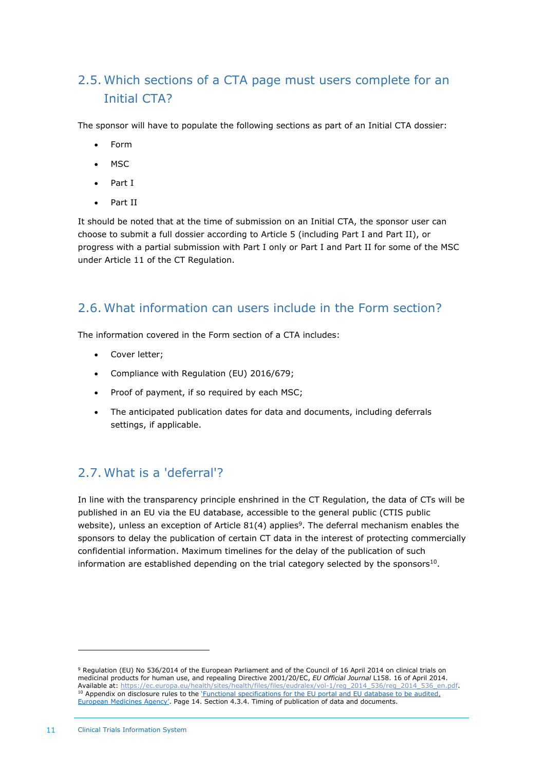## <span id="page-10-0"></span>2.5. Which sections of a CTA page must users complete for an Initial CTA?

The sponsor will have to populate the following sections as part of an Initial CTA dossier:

- Form
- MSC
- Part I
- Part II

It should be noted that at the time of submission on an Initial CTA, the sponsor user can choose to submit a full dossier according to Article 5 (including Part I and Part II), or progress with a partial submission with Part I only or Part I and Part II for some of the MSC under Article 11 of the CT Regulation.

#### <span id="page-10-1"></span>2.6. What information can users include in the Form section?

The information covered in the Form section of a CTA includes:

- Cover letter;
- Compliance with Regulation (EU) 2016/679;
- Proof of payment, if so required by each MSC;
- The anticipated publication dates for data and documents, including deferrals settings, if applicable.

## <span id="page-10-2"></span>2.7. What is a 'deferral'?

In line with the transparency principle enshrined in the CT Regulation, the data of CTs will be published in an EU via the EU database, accessible to the general public (CTIS public website), unless an exception of Article 81(4) applies<sup>9</sup>. The deferral mechanism enables the sponsors to delay the publication of certain CT data in the interest of protecting commercially confidential information. Maximum timelines for the delay of the publication of such information are established depending on the trial category selected by the sponsors<sup>10</sup>.

<sup>9</sup> Regulation (EU) No 536/2014 of the European Parliament and of the Council of 16 April 2014 on clinical trials on medicinal products for human use, and repealing Directive 2001/20/EC, *EU Official Journal* L158. 16 of April 2014. Available at: [https://ec.europa.eu/health/sites/health/files/files/eudralex/vol-1/reg\\_2014\\_536/reg\\_2014\\_536\\_en.pdf.](https://ec.europa.eu/health/sites/health/files/files/eudralex/vol-1/reg_2014_536/reg_2014_536_en.pdf) <sup>10</sup> Appendix on disclosure rules to the 'Functional specifications for the EU portal and EU database to be audited, [European Medicines Agency'](https://www.ema.europa.eu/en/documents/other/appendix-disclosure-rules-functional-specifications-eu-portal-eu-database-be-audited_en.pdf). Page 14. Section 4.3.4. Timing of publication of data and documents.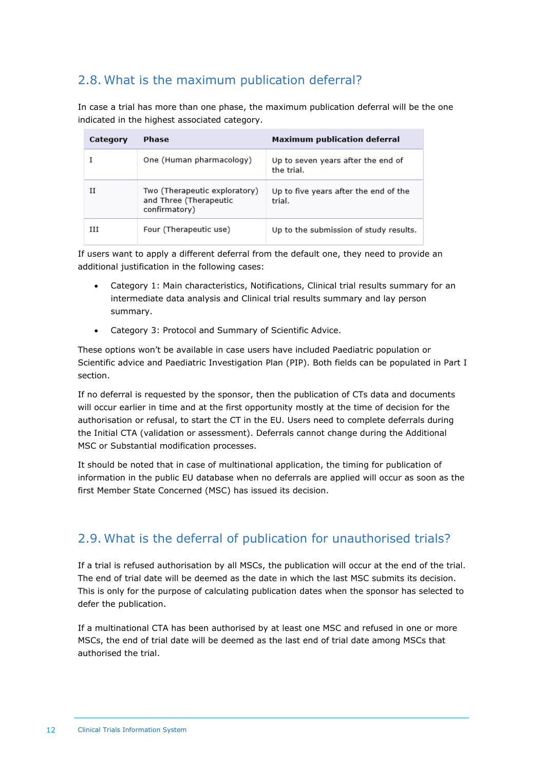## <span id="page-11-0"></span>2.8. What is the maximum publication deferral?

In case a trial has more than one phase, the maximum publication deferral will be the one indicated in the highest associated category.

| Category | Phase                                                                    | Maximum publication deferral                     |
|----------|--------------------------------------------------------------------------|--------------------------------------------------|
|          | One (Human pharmacology)                                                 | Up to seven years after the end of<br>the trial. |
| Н        | Two (Therapeutic exploratory)<br>and Three (Therapeutic<br>confirmatory) | Up to five years after the end of the<br>trial.  |
| Ш        | Four (Therapeutic use)                                                   | Up to the submission of study results.           |

If users want to apply a different deferral from the default one, they need to provide an additional justification in the following cases:

- Category 1: Main characteristics, Notifications, Clinical trial results summary for an intermediate data analysis and Clinical trial results summary and lay person summary.
- Category 3: Protocol and Summary of Scientific Advice.

These options won't be available in case users have included Paediatric population or Scientific advice and Paediatric Investigation Plan (PIP). Both fields can be populated in Part I section.

If no deferral is requested by the sponsor, then the publication of CTs data and documents will occur earlier in time and at the first opportunity mostly at the time of decision for the authorisation or refusal, to start the CT in the EU. Users need to complete deferrals during the Initial CTA (validation or assessment). Deferrals cannot change during the Additional MSC or Substantial modification processes.

It should be noted that in case of multinational application, the timing for publication of information in the public EU database when no deferrals are applied will occur as soon as the first Member State Concerned (MSC) has issued its decision.

## <span id="page-11-1"></span>2.9. What is the deferral of publication for unauthorised trials?

If a trial is refused authorisation by all MSCs, the publication will occur at the end of the trial. The end of trial date will be deemed as the date in which the last MSC submits its decision. This is only for the purpose of calculating publication dates when the sponsor has selected to defer the publication.

If a multinational CTA has been authorised by at least one MSC and refused in one or more MSCs, the end of trial date will be deemed as the last end of trial date among MSCs that authorised the trial.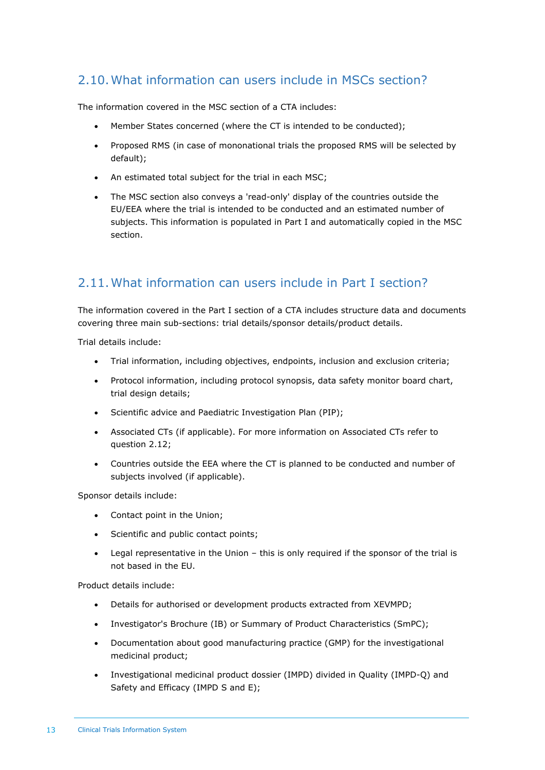## <span id="page-12-0"></span>2.10.What information can users include in MSCs section?

The information covered in the MSC section of a CTA includes:

- Member States concerned (where the CT is intended to be conducted);
- Proposed RMS (in case of mononational trials the proposed RMS will be selected by default);
- An estimated total subject for the trial in each MSC;
- The MSC section also conveys a 'read-only' display of the countries outside the EU/EEA where the trial is intended to be conducted and an estimated number of subjects. This information is populated in Part I and automatically copied in the MSC section.

#### <span id="page-12-1"></span>2.11.What information can users include in Part I section?

The information covered in the Part I section of a CTA includes structure data and documents covering three main sub-sections: trial details/sponsor details/product details.

Trial details include:

- Trial information, including objectives, endpoints, inclusion and exclusion criteria;
- Protocol information, including protocol synopsis, data safety monitor board chart, trial design details;
- Scientific advice and Paediatric Investigation Plan (PIP);
- Associated CTs (if applicable). For more information on Associated CTs refer to question 2.12;
- Countries outside the EEA where the CT is planned to be conducted and number of subjects involved (if applicable).

Sponsor details include:

- Contact point in the Union;
- Scientific and public contact points;
- Legal representative in the Union this is only required if the sponsor of the trial is not based in the EU.

Product details include:

- Details for authorised or development products extracted from XEVMPD;
- Investigator's Brochure (IB) or Summary of Product Characteristics (SmPC);
- Documentation about good manufacturing practice (GMP) for the investigational medicinal product;
- Investigational medicinal product dossier (IMPD) divided in Quality (IMPD-Q) and Safety and Efficacy (IMPD S and E);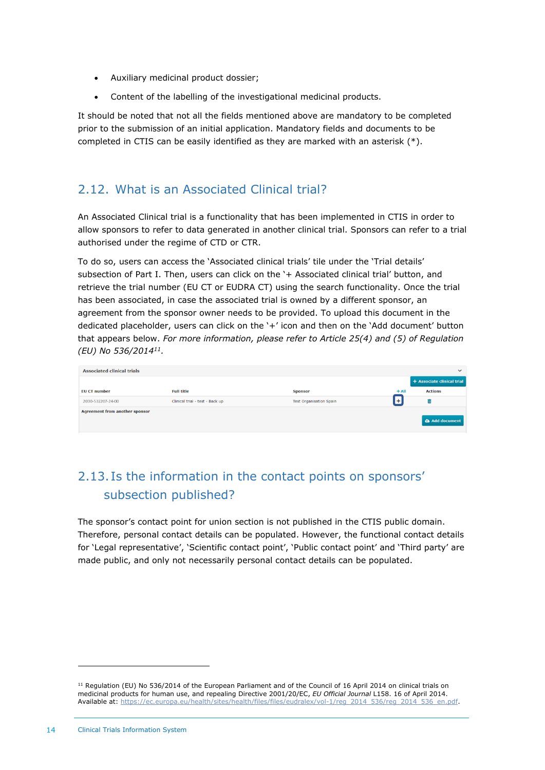- Auxiliary medicinal product dossier;
- Content of the labelling of the investigational medicinal products.

It should be noted that not all the fields mentioned above are mandatory to be completed prior to the submission of an initial application. Mandatory fields and documents to be completed in CTIS can be easily identified as they are marked with an asterisk (\*).

#### <span id="page-13-0"></span>2.12. What is an Associated Clinical trial?

An Associated Clinical trial is a functionality that has been implemented in CTIS in order to allow sponsors to refer to data generated in another clinical trial. Sponsors can refer to a trial authorised under the regime of CTD or CTR.

To do so, users can access the 'Associated clinical trials' tile under the 'Trial details' subsection of Part I. Then, users can click on the '+ Associated clinical trial' button, and retrieve the trial number (EU CT or EUDRA CT) using the search functionality. Once the trial has been associated, in case the associated trial is owned by a different sponsor, an agreement from the sponsor owner needs to be provided. To upload this document in the dedicated placeholder, users can click on the '+' icon and then on the 'Add document' button that appears below. *For more information, please refer to Article 25(4) and (5) of Regulation (EU) No 536/2014<sup>11</sup> .*

| <b>Associated clinical trials</b>     |                                 |                                |         | $\checkmark$               |
|---------------------------------------|---------------------------------|--------------------------------|---------|----------------------------|
|                                       |                                 |                                |         | + Associate clinical trial |
| <b>EU CT number</b>                   | <b>Full title</b>               | <b>Sponsor</b>                 | $+$ All | <b>Actions</b>             |
| 2030-532207-24-00                     | Clinical trial - test - Back up | <b>Test Organisation Spain</b> |         |                            |
| <b>Agreement from another sponsor</b> |                                 |                                |         | Add document               |

## <span id="page-13-1"></span>2.13. Is the information in the contact points on sponsors' subsection published?

The sponsor's contact point for union section is not published in the CTIS public domain. Therefore, personal contact details can be populated. However, the functional contact details for 'Legal representative', 'Scientific contact point', 'Public contact point' and 'Third party' are made public, and only not necessarily personal contact details can be populated.

 $11$  Regulation (EU) No 536/2014 of the European Parliament and of the Council of 16 April 2014 on clinical trials on medicinal products for human use, and repealing Directive 2001/20/EC, *EU Official Journal* L158. 16 of April 2014. Available at: [https://ec.europa.eu/health/sites/health/files/files/eudralex/vol-1/reg\\_2014\\_536/reg\\_2014\\_536\\_en.pdf.](https://ec.europa.eu/health/sites/health/files/files/eudralex/vol-1/reg_2014_536/reg_2014_536_en.pdf)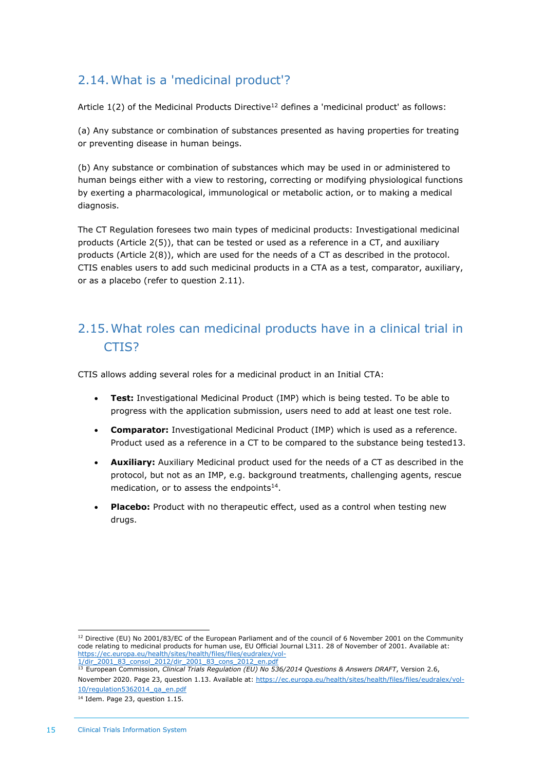## <span id="page-14-0"></span>2.14.What is a 'medicinal product'?

Article  $1(2)$  of the Medicinal Products Directive<sup>12</sup> defines a 'medicinal product' as follows:

(a) Any substance or combination of substances presented as having properties for treating or preventing disease in human beings.

(b) Any substance or combination of substances which may be used in or administered to human beings either with a view to restoring, correcting or modifying physiological functions by exerting a pharmacological, immunological or metabolic action, or to making a medical diagnosis.

The CT Regulation foresees two main types of medicinal products: Investigational medicinal products (Article 2(5)), that can be tested or used as a reference in a CT, and auxiliary products (Article 2(8)), which are used for the needs of a CT as described in the protocol. CTIS enables users to add such medicinal products in a CTA as a test, comparator, auxiliary, or as a placebo (refer to question 2.11).

## <span id="page-14-1"></span>2.15.What roles can medicinal products have in a clinical trial in CTIS?

CTIS allows adding several roles for a medicinal product in an Initial CTA:

- **Test:** Investigational Medicinal Product (IMP) which is being tested. To be able to progress with the application submission, users need to add at least one test role.
- **Comparator:** Investigational Medicinal Product (IMP) which is used as a reference. Product used as a reference in a CT to be compared to the substance being tested13.
- **Auxiliary:** Auxiliary Medicinal product used for the needs of a CT as described in the protocol, but not as an IMP, e.g. background treatments, challenging agents, rescue medication, or to assess the endpoints $14$ .
- **Placebo:** Product with no therapeutic effect, used as a control when testing new drugs.

<sup>&</sup>lt;sup>12</sup> Directive (EU) No 2001/83/EC of the European Parliament and of the council of 6 November 2001 on the Community code relating to medicinal products for human use, EU Official Journal L311. 28 of November of 2001. Available at: [https://ec.europa.eu/health/sites/health/files/files/eudralex/vol-](https://ec.europa.eu/health/sites/health/files/files/eudralex/vol-1/dir_2001_83_consol_2012/dir_2001_83_cons_2012_en.pdf)

[<sup>1/</sup>dir\\_2001\\_83\\_consol\\_2012/dir\\_2001\\_83\\_cons\\_2012\\_en.pdf](https://ec.europa.eu/health/sites/health/files/files/eudralex/vol-1/dir_2001_83_consol_2012/dir_2001_83_cons_2012_en.pdf) <sup>13</sup> European Commission, *Clinical Trials Regulation (EU) No 536/2014 Questions & Answers DRAFT*, Version 2.6, November 2020. Page 23, question 1.13. Available at: [https://ec.europa.eu/health/sites/health/files/files/eudralex/vol-](https://ec.europa.eu/health/sites/health/files/files/eudralex/vol-10/regulation5362014_qa_en.pdf)

[<sup>10/</sup>regulation5362014\\_qa\\_en.pdf](https://ec.europa.eu/health/sites/health/files/files/eudralex/vol-10/regulation5362014_qa_en.pdf) <sup>14</sup> Idem. Page 23, question 1.15.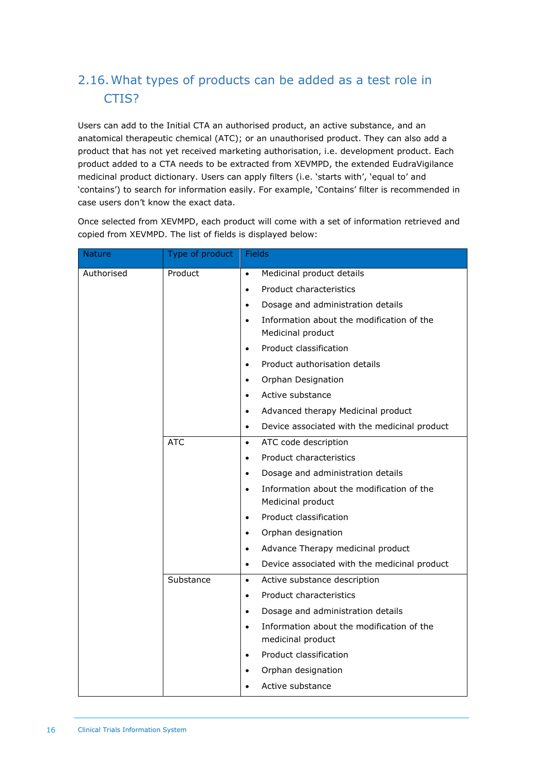## <span id="page-15-0"></span>2.16.What types of products can be added as a test role in CTIS?

Users can add to the Initial CTA an authorised product, an active substance, and an anatomical therapeutic chemical (ATC); or an unauthorised product. They can also add a product that has not yet received marketing authorisation, i.e. development product. Each product added to a CTA needs to be extracted from XEVMPD, the extended EudraVigilance medicinal product dictionary. Users can apply filters (i.e. 'starts with', 'equal to' and 'contains') to search for information easily. For example, 'Contains' filter is recommended in case users don't know the exact data.

Once selected from XEVMPD, each product will come with a set of information retrieved and copied from XEVMPD. The list of fields is displayed below:

| Nature     | Type of product | Fields                                                                      |  |
|------------|-----------------|-----------------------------------------------------------------------------|--|
| Authorised | Product         | Medicinal product details<br>$\bullet$                                      |  |
|            |                 | Product characteristics<br>$\bullet$                                        |  |
|            |                 | Dosage and administration details<br>$\bullet$                              |  |
|            |                 | Information about the modification of the<br>$\bullet$<br>Medicinal product |  |
|            |                 | Product classification<br>$\bullet$                                         |  |
|            |                 | Product authorisation details<br>$\bullet$                                  |  |
|            |                 | Orphan Designation<br>$\bullet$                                             |  |
|            |                 | Active substance<br>$\bullet$                                               |  |
|            |                 | Advanced therapy Medicinal product<br>$\bullet$                             |  |
|            |                 | Device associated with the medicinal product<br>$\bullet$                   |  |
|            | <b>ATC</b>      | ATC code description<br>$\bullet$                                           |  |
|            |                 | Product characteristics<br>$\bullet$                                        |  |
|            |                 | Dosage and administration details<br>$\bullet$                              |  |
|            |                 | Information about the modification of the<br>$\bullet$<br>Medicinal product |  |
|            |                 | Product classification<br>$\bullet$                                         |  |
|            |                 | Orphan designation<br>$\bullet$                                             |  |
|            |                 | Advance Therapy medicinal product<br>$\bullet$                              |  |
|            |                 | Device associated with the medicinal product<br>$\bullet$                   |  |
|            | Substance       | Active substance description<br>$\bullet$                                   |  |
|            |                 | Product characteristics<br>$\bullet$                                        |  |
|            |                 | Dosage and administration details<br>$\bullet$                              |  |
|            |                 | Information about the modification of the<br>$\bullet$<br>medicinal product |  |
|            |                 | Product classification<br>$\bullet$                                         |  |
|            |                 | Orphan designation                                                          |  |
|            |                 | Active substance                                                            |  |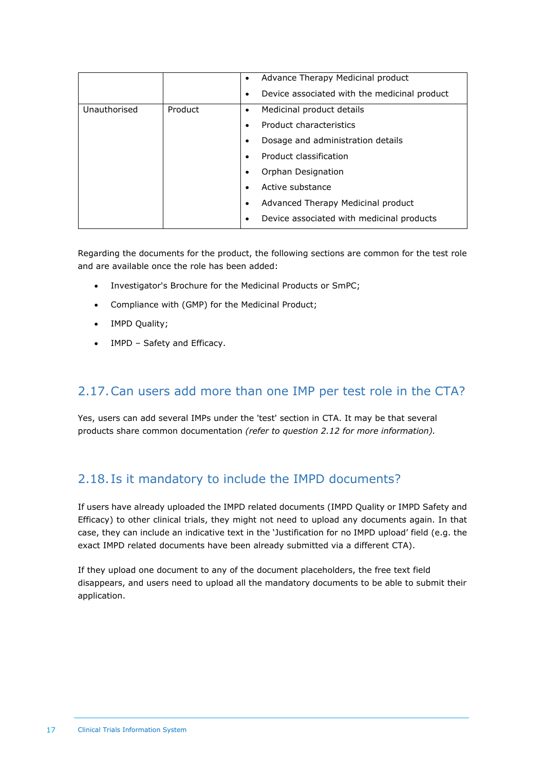|              |         | $\bullet$<br>$\bullet$                                       | Advance Therapy Medicinal product<br>Device associated with the medicinal product                                                                                                                                                                |
|--------------|---------|--------------------------------------------------------------|--------------------------------------------------------------------------------------------------------------------------------------------------------------------------------------------------------------------------------------------------|
| Unauthorised | Product | $\bullet$<br>$\bullet$<br>٠<br>$\bullet$<br>٠<br>٠<br>٠<br>٠ | Medicinal product details<br>Product characteristics<br>Dosage and administration details<br>Product classification<br>Orphan Designation<br>Active substance<br>Advanced Therapy Medicinal product<br>Device associated with medicinal products |

Regarding the documents for the product, the following sections are common for the test role and are available once the role has been added:

- Investigator's Brochure for the Medicinal Products or SmPC;
- Compliance with (GMP) for the Medicinal Product;
- IMPD Quality;
- IMPD Safety and Efficacy.

#### <span id="page-16-0"></span>2.17.Can users add more than one IMP per test role in the CTA?

Yes, users can add several IMPs under the 'test' section in CTA. It may be that several products share common documentation *(refer to question 2.12 for more information).*

#### <span id="page-16-1"></span>2.18. Is it mandatory to include the IMPD documents?

If users have already uploaded the IMPD related documents (IMPD Quality or IMPD Safety and Efficacy) to other clinical trials, they might not need to upload any documents again. In that case, they can include an indicative text in the 'Justification for no IMPD upload' field (e.g. the exact IMPD related documents have been already submitted via a different CTA).

If they upload one document to any of the document placeholders, the free text field disappears, and users need to upload all the mandatory documents to be able to submit their application.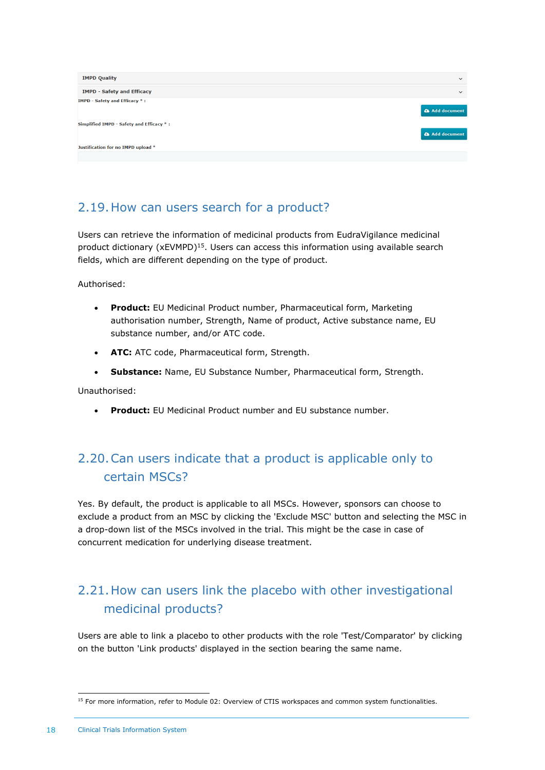| <b>IMPD Quality</b>                      | $\checkmark$          |
|------------------------------------------|-----------------------|
| <b>IMPD - Safety and Efficacy</b>        | $\checkmark$          |
| <b>IMPD - Safety and Efficacy *:</b>     | <b>a</b> Add document |
| Simplified IMPD - Safety and Efficacy *: | <b>a</b> Add document |
| Justification for no IMPD upload *       |                       |
|                                          |                       |

## <span id="page-17-0"></span>2.19.How can users search for a product?

Users can retrieve the information of medicinal products from EudraVigilance medicinal product dictionary (xEVMPD)<sup>15</sup>. Users can access this information using available search fields, which are different depending on the type of product.

Authorised:

- **Product:** EU Medicinal Product number, Pharmaceutical form, Marketing authorisation number, Strength, Name of product, Active substance name, EU substance number, and/or ATC code.
- **ATC:** ATC code, Pharmaceutical form, Strength.
- **Substance:** Name, EU Substance Number, Pharmaceutical form, Strength.

Unauthorised:

<span id="page-17-1"></span>• **Product:** EU Medicinal Product number and EU substance number.

## 2.20.Can users indicate that a product is applicable only to certain MSCs?

Yes. By default, the product is applicable to all MSCs. However, sponsors can choose to exclude a product from an MSC by clicking the 'Exclude MSC' button and selecting the MSC in a drop-down list of the MSCs involved in the trial. This might be the case in case of concurrent medication for underlying disease treatment.

## <span id="page-17-2"></span>2.21.How can users link the placebo with other investigational medicinal products?

Users are able to link a placebo to other products with the role 'Test/Comparator' by clicking on the button 'Link products' displayed in the section bearing the same name.

<sup>&</sup>lt;sup>15</sup> For more information, refer to Module 02: Overview of CTIS workspaces and common system functionalities.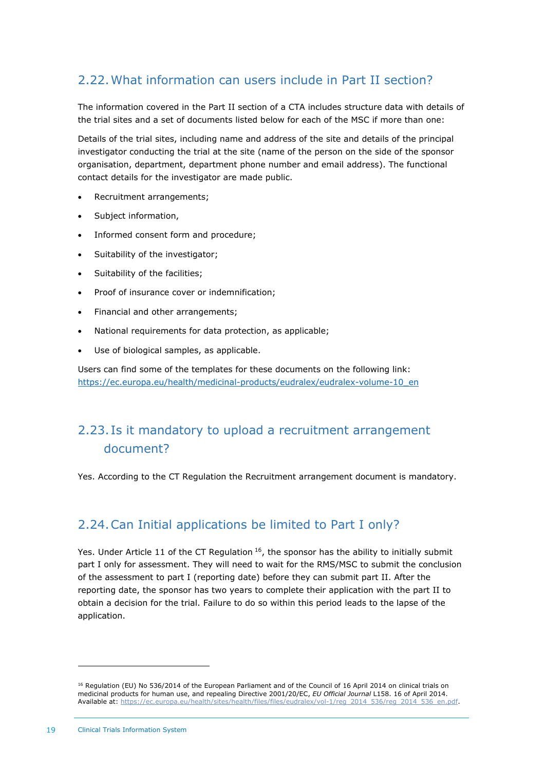## <span id="page-18-0"></span>2.22.What information can users include in Part II section?

The information covered in the Part II section of a CTA includes structure data with details of the trial sites and a set of documents listed below for each of the MSC if more than one:

Details of the trial sites, including name and address of the site and details of the principal investigator conducting the trial at the site (name of the person on the side of the sponsor organisation, department, department phone number and email address). The functional contact details for the investigator are made public.

- Recruitment arrangements;
- Subject information,
- Informed consent form and procedure;
- Suitability of the investigator;
- Suitability of the facilities;
- Proof of insurance cover or indemnification;
- Financial and other arrangements;
- National requirements for data protection, as applicable;
- Use of biological samples, as applicable.

Users can find some of the templates for these documents on the following link: [https://ec.europa.eu/health/medicinal-products/eudralex/eudralex-volume-10\\_en](https://ec.europa.eu/health/medicinal-products/eudralex/eudralex-volume-10_en)

## <span id="page-18-1"></span>2.23. Is it mandatory to upload a recruitment arrangement document?

<span id="page-18-2"></span>Yes. According to the CT Regulation the Recruitment arrangement document is mandatory.

#### 2.24.Can Initial applications be limited to Part I only?

Yes. Under Article 11 of the CT Regulation  $16$ , the sponsor has the ability to initially submit part I only for assessment. They will need to wait for the RMS/MSC to submit the conclusion of the assessment to part I (reporting date) before they can submit part II. After the reporting date, the sponsor has two years to complete their application with the part II to obtain a decision for the trial. Failure to do so within this period leads to the lapse of the application.

<sup>&</sup>lt;sup>16</sup> Regulation (EU) No 536/2014 of the European Parliament and of the Council of 16 April 2014 on clinical trials on medicinal products for human use, and repealing Directive 2001/20/EC, *EU Official Journal* L158. 16 of April 2014. Available at: [https://ec.europa.eu/health/sites/health/files/files/eudralex/vol-1/reg\\_2014\\_536/reg\\_2014\\_536\\_en.pdf.](https://ec.europa.eu/health/sites/health/files/files/eudralex/vol-1/reg_2014_536/reg_2014_536_en.pdf)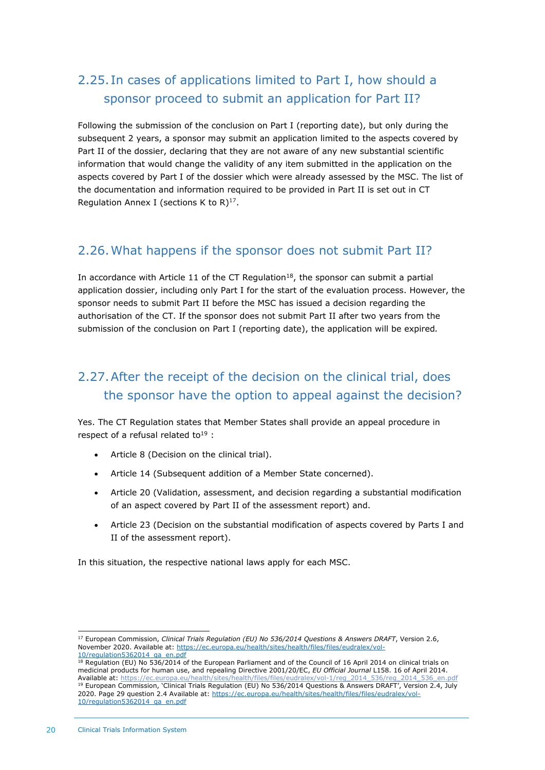## <span id="page-19-0"></span>2.25. In cases of applications limited to Part I, how should a sponsor proceed to submit an application for Part II?

Following the submission of the conclusion on Part I (reporting date), but only during the subsequent 2 years, a sponsor may submit an application limited to the aspects covered by Part II of the dossier, declaring that they are not aware of any new substantial scientific information that would change the validity of any item submitted in the application on the aspects covered by Part I of the dossier which were already assessed by the MSC. The list of the documentation and information required to be provided in Part II is set out in CT Regulation Annex I (sections K to  $R$ )<sup>17</sup>.

#### <span id="page-19-1"></span>2.26.What happens if the sponsor does not submit Part II?

In accordance with Article 11 of the CT Regulation<sup>18</sup>, the sponsor can submit a partial application dossier, including only Part I for the start of the evaluation process. However, the sponsor needs to submit Part II before the MSC has issued a decision regarding the authorisation of the CT. If the sponsor does not submit Part II after two years from the submission of the conclusion on Part I (reporting date), the application will be expired*.*

## <span id="page-19-2"></span>2.27.After the receipt of the decision on the clinical trial, does the sponsor have the option to appeal against the decision?

Yes. The CT Regulation states that Member States shall provide an appeal procedure in respect of a refusal related to<sup>19</sup>:

- Article 8 (Decision on the clinical trial).
- Article 14 (Subsequent addition of a Member State concerned).
- Article 20 (Validation, assessment, and decision regarding a substantial modification of an aspect covered by Part II of the assessment report) and.
- Article 23 (Decision on the substantial modification of aspects covered by Parts I and II of the assessment report).

In this situation, the respective national laws apply for each MSC.

<sup>17</sup> European Commission, *Clinical Trials Regulation (EU) No 536/2014 Questions & Answers DRAFT*, Version 2.6, November 2020. Available at: [https://ec.europa.eu/health/sites/health/files/files/eudralex/vol-](https://ec.europa.eu/health/sites/health/files/files/eudralex/vol-10/regulation5362014_qa_en.pdf)[10/regulation5362014\\_qa\\_en.pdf](https://ec.europa.eu/health/sites/health/files/files/eudralex/vol-10/regulation5362014_qa_en.pdf)

<sup>&</sup>lt;sup>18</sup> Regulation (EU) No 536/2014 of the European Parliament and of the Council of 16 April 2014 on clinical trials on medicinal products for human use, and repealing Directive 2001/20/EC, *EU Official Journal* L158. 16 of April 2014. Available at: [https://ec.europa.eu/health/sites/health/files/files/eudralex/vol-1/reg\\_2014\\_536/reg\\_2014\\_536\\_en.pdf](https://ec.europa.eu/health/sites/health/files/files/eudralex/vol-1/reg_2014_536/reg_2014_536_en.pdf) <sup>19</sup> European Commission, 'Clinical Trials Regulation (EU) No 536/2014 Questions & Answers DRAFT', Version 2.4, July 2020. Page 29 question 2.4 Available at[: https://ec.europa.eu/health/sites/health/files/files/eudralex/vol-](https://ec.europa.eu/health/sites/health/files/files/eudralex/vol-10/regulation5362014_qa_en.pdf)[10/regulation5362014\\_qa\\_en.pdf](https://ec.europa.eu/health/sites/health/files/files/eudralex/vol-10/regulation5362014_qa_en.pdf)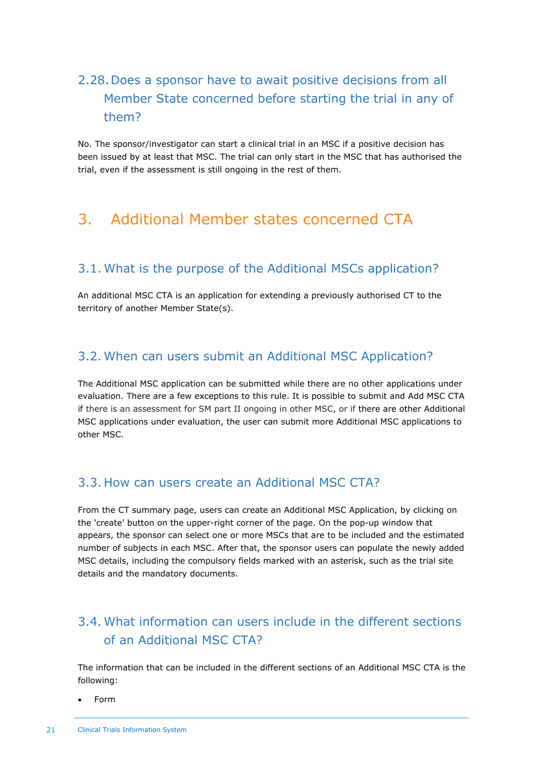## <span id="page-20-0"></span>2.28.Does a sponsor have to await positive decisions from all Member State concerned before starting the trial in any of them?

No. The sponsor/investigator can start a clinical trial in an MSC if a positive decision has been issued by at least that MSC. The trial can only start in the MSC that has authorised the trial, even if the assessment is still ongoing in the rest of them.

## <span id="page-20-2"></span><span id="page-20-1"></span>3. Additional Member states concerned CTA

#### 3.1. What is the purpose of the Additional MSCs application?

An additional MSC CTA is an application for extending a previously authorised CT to the territory of another Member State(s).

#### <span id="page-20-3"></span>3.2. When can users submit an Additional MSC Application?

The Additional MSC application can be submitted while there are no other applications under evaluation. There are a few exceptions to this rule. It is possible to submit and Add MSC CTA if there is an assessment for SM part II ongoing in other MSC, or if there are other Additional MSC applications under evaluation, the user can submit more Additional MSC applications to other MSC.

#### <span id="page-20-4"></span>3.3. How can users create an Additional MSC CTA?

From the CT summary page, users can create an Additional MSC Application, by clicking on the 'create' button on the upper-right corner of the page. On the pop-up window that appears, the sponsor can select one or more MSCs that are to be included and the estimated number of subjects in each MSC. After that, the sponsor users can populate the newly added MSC details, including the compulsory fields marked with an asterisk, such as the trial site details and the mandatory documents.

## <span id="page-20-5"></span>3.4. What information can users include in the different sections of an Additional MSC CTA?

The information that can be included in the different sections of an Additional MSC CTA is the following:

• Form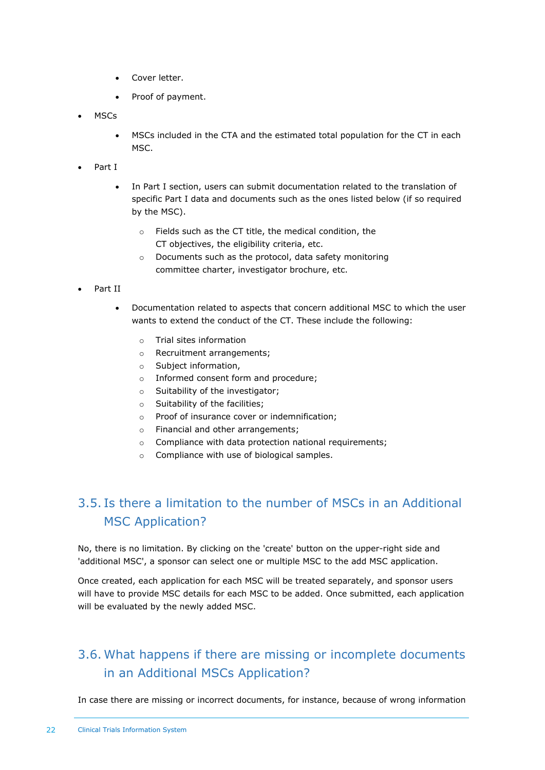- Cover letter.
- Proof of payment.
- MSCs
	- MSCs included in the CTA and the estimated total population for the CT in each MSC.
- Part I
	- In Part I section, users can submit documentation related to the translation of specific Part I data and documents such as the ones listed below (if so required by the MSC).
		- o Fields such as the CT title, the medical condition, the CT objectives, the eligibility criteria, etc.
		- o Documents such as the protocol, data safety monitoring committee charter, investigator brochure, etc.
- Part II
	- Documentation related to aspects that concern additional MSC to which the user wants to extend the conduct of the CT. These include the following:
		- o Trial sites information
		- o Recruitment arrangements;
		- o Subject information,
		- o Informed consent form and procedure;
		- o Suitability of the investigator;
		- o Suitability of the facilities;
		- o Proof of insurance cover or indemnification;
		- o Financial and other arrangements;
		- o Compliance with data protection national requirements;
		- o Compliance with use of biological samples.

## <span id="page-21-0"></span>3.5. Is there a limitation to the number of MSCs in an Additional MSC Application?

No, there is no limitation. By clicking on the 'create' button on the upper-right side and 'additional MSC', a sponsor can select one or multiple MSC to the add MSC application.

Once created, each application for each MSC will be treated separately, and sponsor users will have to provide MSC details for each MSC to be added. Once submitted, each application will be evaluated by the newly added MSC.

## <span id="page-21-1"></span>3.6. What happens if there are missing or incomplete documents in an Additional MSCs Application?

In case there are missing or incorrect documents, for instance, because of wrong information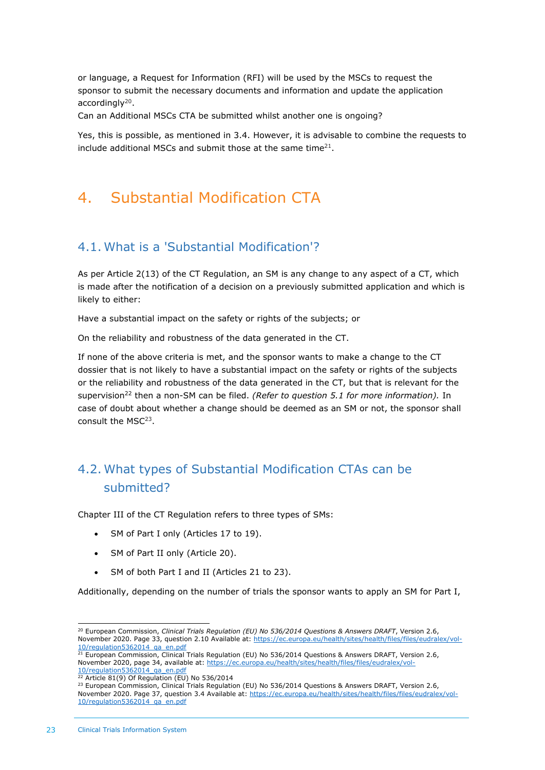or language, a Request for Information (RFI) will be used by the MSCs to request the sponsor to submit the necessary documents and information and update the application accordingly<sup>20</sup>.

Can an Additional MSCs CTA be submitted whilst another one is ongoing?

Yes, this is possible, as mentioned in 3.4. However, it is advisable to combine the requests to include additional MSCs and submit those at the same time<sup>21</sup>.

## <span id="page-22-1"></span><span id="page-22-0"></span>4. Substantial Modification CTA

#### 4.1. What is a 'Substantial Modification'?

As per Article 2(13) of the CT Regulation, an SM is any change to any aspect of a CT, which is made after the notification of a decision on a previously submitted application and which is likely to either:

Have a substantial impact on the safety or rights of the subjects; or

On the reliability and robustness of the data generated in the CT.

If none of the above criteria is met, and the sponsor wants to make a change to the CT dossier that is not likely to have a substantial impact on the safety or rights of the subjects or the reliability and robustness of the data generated in the CT, but that is relevant for the supervision<sup>22</sup> then a non-SM can be filed. *(Refer to question 5.1 for more information)*. In case of doubt about whether a change should be deemed as an SM or not, the sponsor shall consult the MSC<sup>23</sup>.

## <span id="page-22-2"></span>4.2. What types of Substantial Modification CTAs can be submitted?

Chapter III of the CT Regulation refers to three types of SMs:

- SM of Part I only (Articles 17 to 19).
- SM of Part II only (Article 20).
- SM of both Part I and II (Articles 21 to 23).

Additionally, depending on the number of trials the sponsor wants to apply an SM for Part I,

<sup>20</sup> European Commission, *Clinical Trials Regulation (EU) No 536/2014 Questions & Answers DRAFT*, Version 2.6, November 2020. Page 33, question 2.10 Available at: [https://ec.europa.eu/health/sites/health/files/files/eudralex/vol-](https://ec.europa.eu/health/sites/health/files/files/eudralex/vol-10/regulation5362014_qa_en.pdf)[10/regulation5362014\\_qa\\_en.pdf](https://ec.europa.eu/health/sites/health/files/files/eudralex/vol-10/regulation5362014_qa_en.pdf)

<sup>&</sup>lt;sup>21</sup> European Commission, Clinical Trials Regulation (EU) No 536/2014 Questions & Answers DRAFT, Version 2.6, November 2020, page 34, available at: [https://ec.europa.eu/health/sites/health/files/files/eudralex/vol-](https://ec.europa.eu/health/sites/health/files/files/eudralex/vol-10/regulation5362014_qa_en.pdf) $\frac{10}{22}$  Article 81(0) 25 PM available 21 Article 81(0) 25 PM

Article 81(9) Of Regulation (EU) No 536/2014

<sup>&</sup>lt;sup>23</sup> European Commission, Clinical Trials Regulation (EU) No 536/2014 Questions & Answers DRAFT, Version 2.6, November 2020. Page 37, question 3.4 Available at: [https://ec.europa.eu/health/sites/health/files/files/eudralex/vol-](https://ec.europa.eu/health/sites/health/files/files/eudralex/vol-10/regulation5362014_qa_en.pdf)[10/regulation5362014\\_qa\\_en.pdf](https://ec.europa.eu/health/sites/health/files/files/eudralex/vol-10/regulation5362014_qa_en.pdf)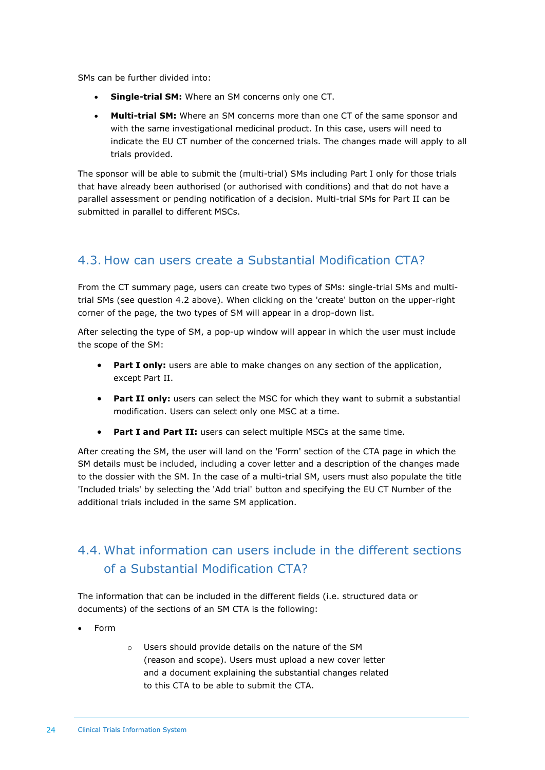SMs can be further divided into:

- **Single-trial SM:** Where an SM concerns only one CT.
- **Multi-trial SM:** Where an SM concerns more than one CT of the same sponsor and with the same investigational medicinal product. In this case, users will need to indicate the EU CT number of the concerned trials. The changes made will apply to all trials provided.

The sponsor will be able to submit the (multi-trial) SMs including Part I only for those trials that have already been authorised (or authorised with conditions) and that do not have a parallel assessment or pending notification of a decision. Multi-trial SMs for Part II can be submitted in parallel to different MSCs.

#### <span id="page-23-0"></span>4.3. How can users create a Substantial Modification CTA?

From the CT summary page, users can create two types of SMs: single-trial SMs and multitrial SMs (see question 4.2 above). When clicking on the 'create' button on the upper-right corner of the page, the two types of SM will appear in a drop-down list.

After selecting the type of SM, a pop-up window will appear in which the user must include the scope of the SM:

- **Part I only:** users are able to make changes on any section of the application, except Part II.
- **Part II only:** users can select the MSC for which they want to submit a substantial modification. Users can select only one MSC at a time.
- **Part I and Part II:** users can select multiple MSCs at the same time.

After creating the SM, the user will land on the 'Form' section of the CTA page in which the SM details must be included, including a cover letter and a description of the changes made to the dossier with the SM. In the case of a multi-trial SM, users must also populate the title 'Included trials' by selecting the 'Add trial' button and specifying the EU CT Number of the additional trials included in the same SM application.

## <span id="page-23-1"></span>4.4. What information can users include in the different sections of a Substantial Modification CTA?

The information that can be included in the different fields (i.e. structured data or documents) of the sections of an SM CTA is the following:

- Form
- o Users should provide details on the nature of the SM (reason and scope). Users must upload a new cover letter and a document explaining the substantial changes related to this CTA to be able to submit the CTA.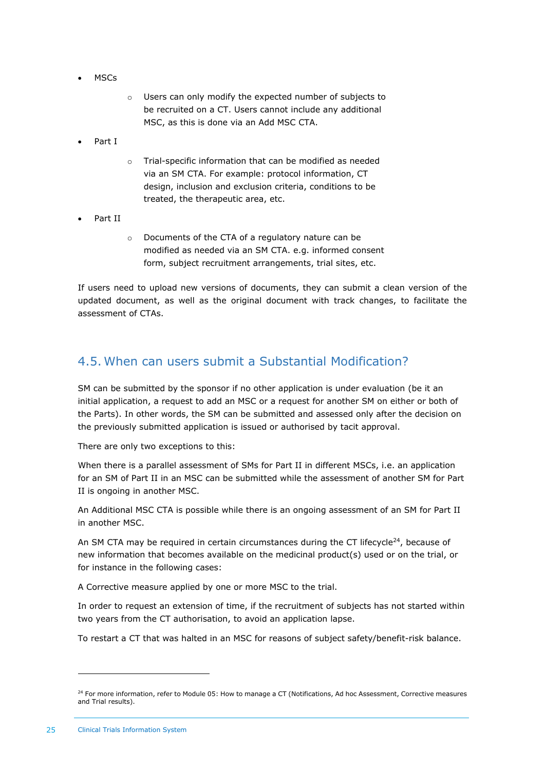- MSCs
- o Users can only modify the expected number of subjects to be recruited on a CT. Users cannot include any additional MSC, as this is done via an Add MSC CTA.
- Part I
- o Trial-specific information that can be modified as needed via an SM CTA. For example: protocol information, CT design, inclusion and exclusion criteria, conditions to be treated, the therapeutic area, etc.
- Part II
- o Documents of the CTA of a regulatory nature can be modified as needed via an SM CTA. e.g. informed consent form, subject recruitment arrangements, trial sites, etc.

If users need to upload new versions of documents, they can submit a clean version of the updated document, as well as the original document with track changes, to facilitate the assessment of CTAs.

#### <span id="page-24-0"></span>4.5. When can users submit a Substantial Modification?

SM can be submitted by the sponsor if no other application is under evaluation (be it an initial application, a request to add an MSC or a request for another SM on either or both of the Parts). In other words, the SM can be submitted and assessed only after the decision on the previously submitted application is issued or authorised by tacit approval.

There are only two exceptions to this:

When there is a parallel assessment of SMs for Part II in different MSCs, i.e. an application for an SM of Part II in an MSC can be submitted while the assessment of another SM for Part II is ongoing in another MSC.

An Additional MSC CTA is possible while there is an ongoing assessment of an SM for Part II in another MSC.

An SM CTA may be required in certain circumstances during the CT lifecycle<sup>24</sup>, because of new information that becomes available on the medicinal product(s) used or on the trial, or for instance in the following cases:

A Corrective measure applied by one or more MSC to the trial.

In order to request an extension of time, if the recruitment of subjects has not started within two years from the CT authorisation, to avoid an application lapse.

To restart a CT that was halted in an MSC for reasons of subject safety/benefit-risk balance.

<sup>&</sup>lt;sup>24</sup> For more information, refer to Module 05: How to manage a CT (Notifications, Ad hoc Assessment, Corrective measures and Trial results).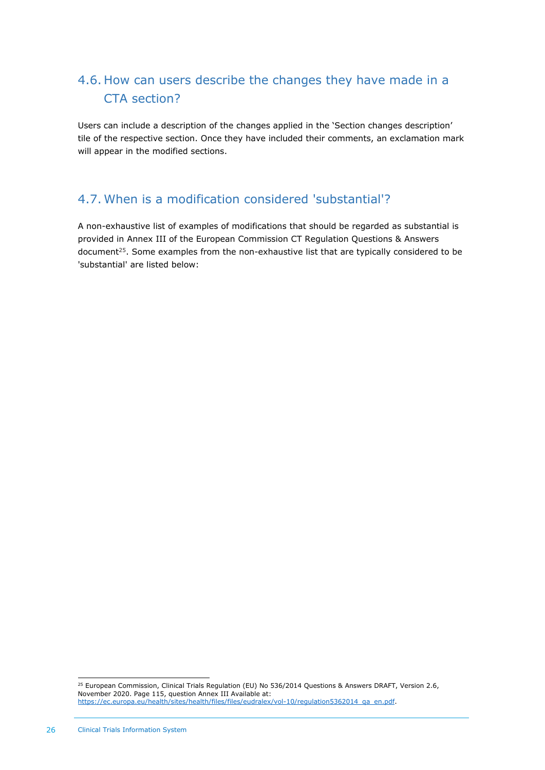## <span id="page-25-0"></span>4.6. How can users describe the changes they have made in a CTA section?

Users can include a description of the changes applied in the 'Section changes description' tile of the respective section. Once they have included their comments, an exclamation mark will appear in the modified sections.

#### <span id="page-25-1"></span>4.7. When is a modification considered 'substantial'?

A non-exhaustive list of examples of modifications that should be regarded as substantial is provided in Annex III of the European Commission CT Regulation Questions & Answers document<sup>25</sup>. Some examples from the non-exhaustive list that are typically considered to be 'substantial' are listed below:

<sup>&</sup>lt;sup>25</sup> European Commission, Clinical Trials Regulation (EU) No 536/2014 Questions & Answers DRAFT, Version 2.6, November 2020. Page 115, question Annex III Available at: [https://ec.europa.eu/health/sites/health/files/files/eudralex/vol-10/regulation5362014\\_qa\\_en.pdf.](https://ec.europa.eu/health/sites/health/files/files/eudralex/vol-10/regulation5362014_qa_en.pdf)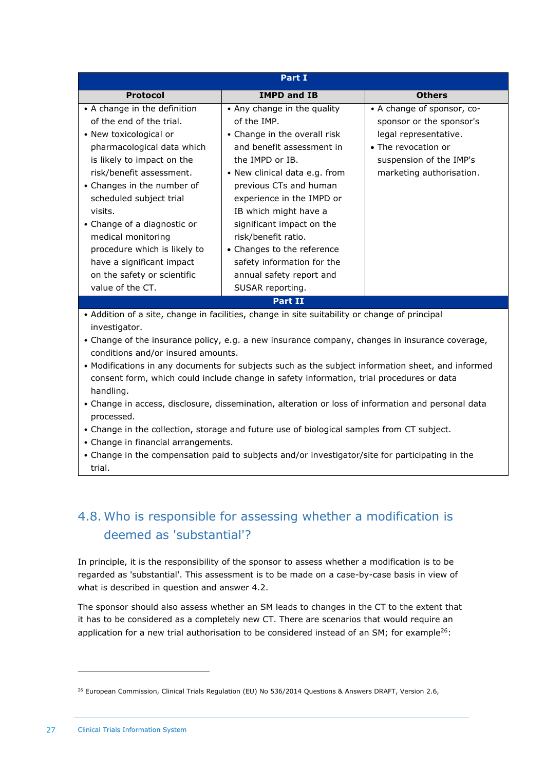| Part I                                                                                                                                                                                                                                                                                                     |                               |                            |  |  |
|------------------------------------------------------------------------------------------------------------------------------------------------------------------------------------------------------------------------------------------------------------------------------------------------------------|-------------------------------|----------------------------|--|--|
| <b>Protocol</b>                                                                                                                                                                                                                                                                                            | <b>IMPD and IB</b>            | <b>Others</b>              |  |  |
| • A change in the definition                                                                                                                                                                                                                                                                               | • Any change in the quality   | • A change of sponsor, co- |  |  |
| of the end of the trial.                                                                                                                                                                                                                                                                                   | of the IMP.                   | sponsor or the sponsor's   |  |  |
| • New toxicological or                                                                                                                                                                                                                                                                                     | • Change in the overall risk  | legal representative.      |  |  |
| pharmacological data which                                                                                                                                                                                                                                                                                 | and benefit assessment in     | • The revocation or        |  |  |
| is likely to impact on the                                                                                                                                                                                                                                                                                 | the IMPD or IB.               | suspension of the IMP's    |  |  |
| risk/benefit assessment.                                                                                                                                                                                                                                                                                   | • New clinical data e.g. from | marketing authorisation.   |  |  |
| • Changes in the number of                                                                                                                                                                                                                                                                                 | previous CTs and human        |                            |  |  |
| scheduled subject trial                                                                                                                                                                                                                                                                                    | experience in the IMPD or     |                            |  |  |
| visits.                                                                                                                                                                                                                                                                                                    | IB which might have a         |                            |  |  |
| • Change of a diagnostic or                                                                                                                                                                                                                                                                                | significant impact on the     |                            |  |  |
| medical monitoring                                                                                                                                                                                                                                                                                         | risk/benefit ratio.           |                            |  |  |
| procedure which is likely to                                                                                                                                                                                                                                                                               | • Changes to the reference    |                            |  |  |
| have a significant impact                                                                                                                                                                                                                                                                                  | safety information for the    |                            |  |  |
| on the safety or scientific                                                                                                                                                                                                                                                                                | annual safety report and      |                            |  |  |
| value of the CT.                                                                                                                                                                                                                                                                                           | SUSAR reporting.              |                            |  |  |
|                                                                                                                                                                                                                                                                                                            | <b>Part II</b>                |                            |  |  |
|                                                                                                                                                                                                                                                                                                            |                               |                            |  |  |
| investigator.                                                                                                                                                                                                                                                                                              |                               |                            |  |  |
| • Change of the insurance policy, e.g. a new insurance company, changes in insurance coverage,                                                                                                                                                                                                             |                               |                            |  |  |
| conditions and/or insured amounts.                                                                                                                                                                                                                                                                         |                               |                            |  |  |
| • Modifications in any documents for subjects such as the subject information sheet, and informed                                                                                                                                                                                                          |                               |                            |  |  |
| consent form, which could include change in safety information, trial procedures or data                                                                                                                                                                                                                   |                               |                            |  |  |
| handling.                                                                                                                                                                                                                                                                                                  |                               |                            |  |  |
|                                                                                                                                                                                                                                                                                                            |                               |                            |  |  |
|                                                                                                                                                                                                                                                                                                            |                               |                            |  |  |
| • Addition of a site, change in facilities, change in site suitability or change of principal<br>• Change in access, disclosure, dissemination, alteration or loss of information and personal data<br>processed.<br>Change in the collection storage and future use of biological samples from CT subject |                               |                            |  |  |

- Change in the collection, storage and future use of biological samples from CT subject.
- Change in financial arrangements.
- <span id="page-26-0"></span>• Change in the compensation paid to subjects and/or investigator/site for participating in the trial.

## 4.8. Who is responsible for assessing whether a modification is deemed as 'substantial'?

In principle, it is the responsibility of the sponsor to assess whether a modification is to be regarded as 'substantial'. This assessment is to be made on a case-by-case basis in view of what is described in question and answer 4.2.

The sponsor should also assess whether an SM leads to changes in the CT to the extent that it has to be considered as a completely new CT. There are scenarios that would require an application for a new trial authorisation to be considered instead of an SM; for example<sup>26</sup>:

<sup>&</sup>lt;sup>26</sup> European Commission, Clinical Trials Regulation (EU) No 536/2014 Questions & Answers DRAFT, Version 2.6,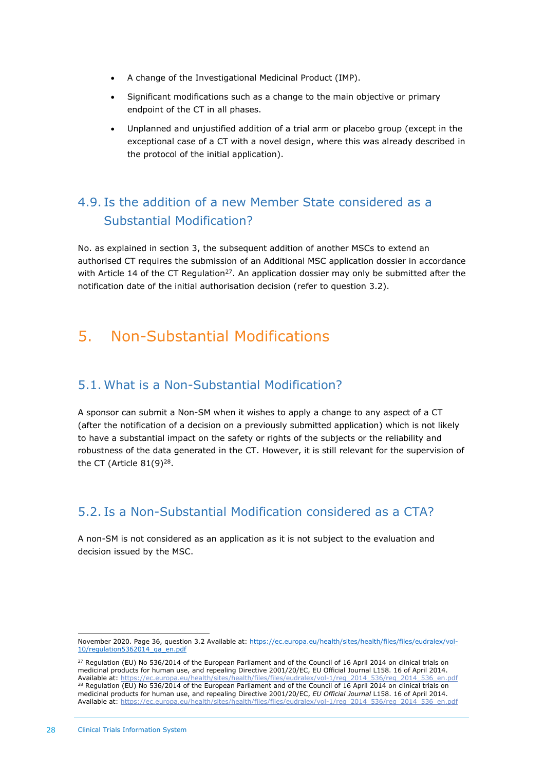- A change of the Investigational Medicinal Product (IMP).
- Significant modifications such as a change to the main objective or primary endpoint of the CT in all phases.
- Unplanned and unjustified addition of a trial arm or placebo group (except in the exceptional case of a CT with a novel design, where this was already described in the protocol of the initial application).

## <span id="page-27-0"></span>4.9. Is the addition of a new Member State considered as a Substantial Modification?

No. as explained in section 3, the subsequent addition of another MSCs to extend an authorised CT requires the submission of an Additional MSC application dossier in accordance with Article 14 of the CT Regulation<sup>27</sup>. An application dossier may only be submitted after the notification date of the initial authorisation decision (refer to question 3.2).

## <span id="page-27-2"></span><span id="page-27-1"></span>5. Non-Substantial Modifications

#### 5.1. What is a Non-Substantial Modification?

A sponsor can submit a Non-SM when it wishes to apply a change to any aspect of a CT (after the notification of a decision on a previously submitted application) which is not likely to have a substantial impact on the safety or rights of the subjects or the reliability and robustness of the data generated in the CT. However, it is still relevant for the supervision of the CT (Article  $81(9)^{28}$ .

#### <span id="page-27-3"></span>5.2. Is a Non-Substantial Modification considered as a CTA?

A non-SM is not considered as an application as it is not subject to the evaluation and decision issued by the MSC.

November 2020. Page 36, question 3.2 Available at: [https://ec.europa.eu/health/sites/health/files/files/eudralex/vol-](https://ec.europa.eu/health/sites/health/files/files/eudralex/vol-10/regulation5362014_qa_en.pdf)[10/regulation5362014\\_qa\\_en.pdf](https://ec.europa.eu/health/sites/health/files/files/eudralex/vol-10/regulation5362014_qa_en.pdf)

 $^{27}$  Regulation (EU) No 536/2014 of the European Parliament and of the Council of 16 April 2014 on clinical trials on medicinal products for human use, and repealing Directive 2001/20/EC, EU Official Journal L158. 16 of April 2014. Available at: [https://ec.europa.eu/health/sites/health/files/files/eudralex/vol-1/reg\\_2014\\_536/reg\\_2014\\_536\\_en.pdf](https://ec.europa.eu/health/sites/health/files/files/eudralex/vol-1/reg_2014_536/reg_2014_536_en.pdf) <sup>28</sup> Regulation (EU) No 536/2014 of the European Parliament and of the Council of 16 April 2014 on clinical trials on medicinal products for human use, and repealing Directive 2001/20/EC, *EU Official Journal* L158. 16 of April 2014. Available at: [https://ec.europa.eu/health/sites/health/files/files/eudralex/vol-1/reg\\_2014\\_536/reg\\_2014\\_536\\_en.pdf](https://ec.europa.eu/health/sites/health/files/files/eudralex/vol-1/reg_2014_536/reg_2014_536_en.pdf)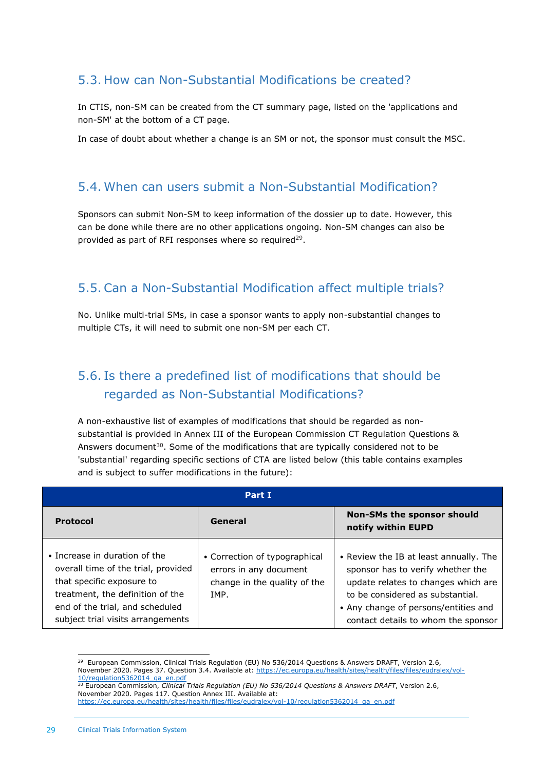### <span id="page-28-0"></span>5.3. How can Non-Substantial Modifications be created?

In CTIS, non-SM can be created from the CT summary page, listed on the 'applications and non-SM' at the bottom of a CT page.

<span id="page-28-1"></span>In case of doubt about whether a change is an SM or not, the sponsor must consult the MSC.

#### 5.4. When can users submit a Non-Substantial Modification?

Sponsors can submit Non-SM to keep information of the dossier up to date. However, this can be done while there are no other applications ongoing. Non-SM changes can also be provided as part of RFI responses where so required<sup>29</sup>.

#### <span id="page-28-2"></span>5.5. Can a Non-Substantial Modification affect multiple trials?

No. Unlike multi-trial SMs, in case a sponsor wants to apply non-substantial changes to multiple CTs, it will need to submit one non-SM per each CT.

## <span id="page-28-3"></span>5.6. Is there a predefined list of modifications that should be regarded as Non-Substantial Modifications?

A non-exhaustive list of examples of modifications that should be regarded as nonsubstantial is provided in Annex III of the European Commission CT Regulation Questions & Answers document $30$ . Some of the modifications that are typically considered not to be 'substantial' regarding specific sections of CTA are listed below (this table contains examples and is subject to suffer modifications in the future):

| Part I                                                                                                                                                                                                        |                                                                                                 |                                                                                                                                                                                                                                       |  |
|---------------------------------------------------------------------------------------------------------------------------------------------------------------------------------------------------------------|-------------------------------------------------------------------------------------------------|---------------------------------------------------------------------------------------------------------------------------------------------------------------------------------------------------------------------------------------|--|
| <b>Protocol</b>                                                                                                                                                                                               | General                                                                                         | Non-SMs the sponsor should<br>notify within EUPD                                                                                                                                                                                      |  |
| • Increase in duration of the<br>overall time of the trial, provided<br>that specific exposure to<br>treatment, the definition of the<br>end of the trial, and scheduled<br>subject trial visits arrangements | • Correction of typographical<br>errors in any document<br>change in the quality of the<br>TMP. | • Review the IB at least annually. The<br>sponsor has to verify whether the<br>update relates to changes which are<br>to be considered as substantial.<br>• Any change of persons/entities and<br>contact details to whom the sponsor |  |

<sup>&</sup>lt;sup>29</sup> European Commission, Clinical Trials Regulation (EU) No 536/2014 Questions & Answers DRAFT, Version 2.6, November 2020. Pages 37. Question 3.4. Available at: [https://ec.europa.eu/health/sites/health/files/files/eudralex/vol-](https://ec.europa.eu/health/sites/health/files/files/eudralex/vol-10/regulation5362014_qa_en.pdf)[10/regulation5362014\\_qa\\_en.pdf](https://ec.europa.eu/health/sites/health/files/files/eudralex/vol-10/regulation5362014_qa_en.pdf)

<sup>30</sup> European Commission, *Clinical Trials Regulation (EU) No 536/2014 Questions & Answers DRAFT*, Version 2.6, November 2020. Pages 117. Question Annex III. Available at: [https://ec.europa.eu/health/sites/health/files/files/eudralex/vol-10/regulation5362014\\_qa\\_en.pdf](https://ec.europa.eu/health/sites/health/files/files/eudralex/vol-10/regulation5362014_qa_en.pdf)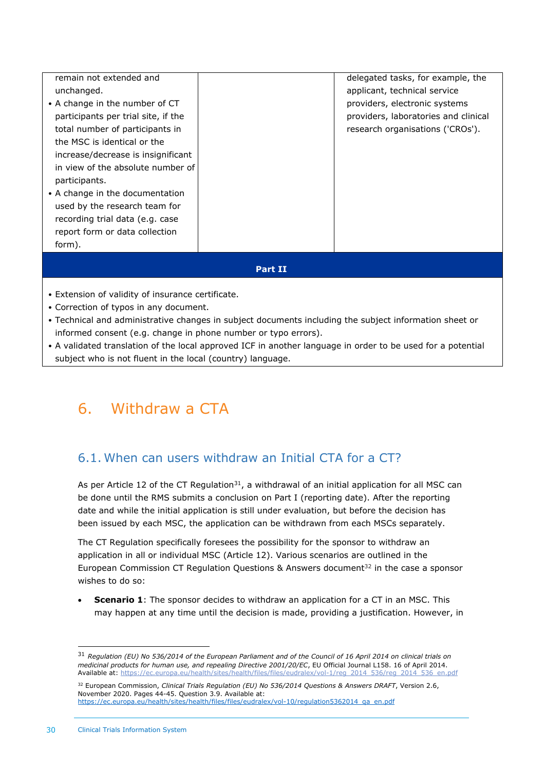| remain not extended and             |  | delegated tasks, for example, the    |  |
|-------------------------------------|--|--------------------------------------|--|
| unchanged.                          |  | applicant, technical service         |  |
| • A change in the number of CT      |  | providers, electronic systems        |  |
| participants per trial site, if the |  | providers, laboratories and clinical |  |
| total number of participants in     |  | research organisations ('CROs').     |  |
| the MSC is identical or the         |  |                                      |  |
| increase/decrease is insignificant  |  |                                      |  |
| in view of the absolute number of   |  |                                      |  |
| participants.                       |  |                                      |  |
| • A change in the documentation     |  |                                      |  |
| used by the research team for       |  |                                      |  |
| recording trial data (e.g. case     |  |                                      |  |
| report form or data collection      |  |                                      |  |
| form).                              |  |                                      |  |
|                                     |  |                                      |  |
| Part II                             |  |                                      |  |

- Extension of validity of insurance certificate.
- Correction of typos in any document.
- Technical and administrative changes in subject documents including the subject information sheet or informed consent (e.g. change in phone number or typo errors).
- A validated translation of the local approved ICF in another language in order to be used for a potential subject who is not fluent in the local (country) language.

## <span id="page-29-1"></span><span id="page-29-0"></span>6. Withdraw a CTA

#### 6.1. When can users withdraw an Initial CTA for a CT?

As per Article 12 of the CT Regulation<sup>31</sup>, a withdrawal of an initial application for all MSC can be done until the RMS submits a conclusion on Part I (reporting date). After the reporting date and while the initial application is still under evaluation, but before the decision has been issued by each MSC, the application can be withdrawn from each MSCs separately.

The CT Regulation specifically foresees the possibility for the sponsor to withdraw an application in all or individual MSC (Article 12). Various scenarios are outlined in the European Commission CT Regulation Questions & Answers document $32$  in the case a sponsor wishes to do so:

**Scenario 1**: The sponsor decides to withdraw an application for a CT in an MSC. This may happen at any time until the decision is made, providing a justification. However, in

<sup>31</sup> *Regulation (EU) No 536/2014 of the European Parliament and of the Council of 16 April 2014 on clinical trials on medicinal products for human use, and repealing Directive 2001/20/EC*, EU Official Journal L158. 16 of April 2014. Available at: [https://ec.europa.eu/health/sites/health/files/files/eudralex/vol-1/reg\\_2014\\_536/reg\\_2014\\_536\\_en.pdf](https://ec.europa.eu/health/sites/health/files/files/eudralex/vol-1/reg_2014_536/reg_2014_536_en.pdf)

<sup>32</sup> European Commission, *Clinical Trials Regulation (EU) No 536/2014 Questions & Answers DRAFT*, Version 2.6, November 2020. Pages 44-45. Question 3.9. Available at: [https://ec.europa.eu/health/sites/health/files/files/eudralex/vol-10/regulation5362014\\_qa\\_en.pdf](https://ec.europa.eu/health/sites/health/files/files/eudralex/vol-10/regulation5362014_qa_en.pdf)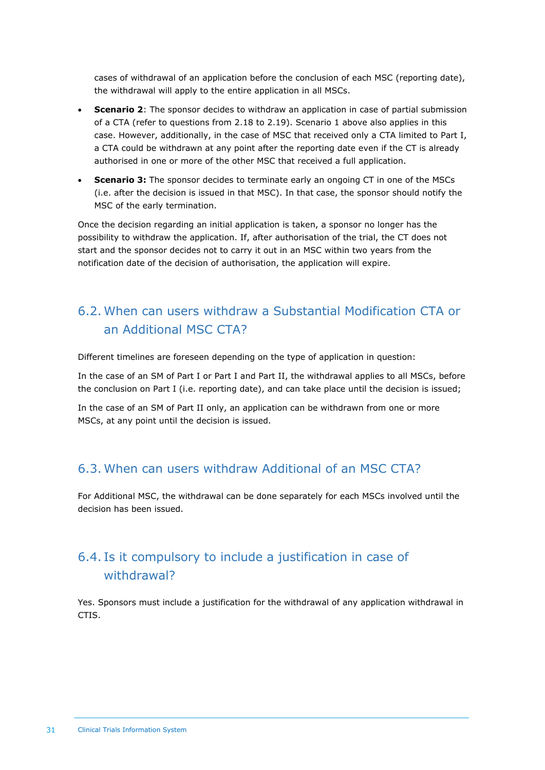cases of withdrawal of an application before the conclusion of each MSC (reporting date), the withdrawal will apply to the entire application in all MSCs.

- **Scenario 2**: The sponsor decides to withdraw an application in case of partial submission of a CTA (refer to questions from 2.18 to 2.19). Scenario 1 above also applies in this case. However, additionally, in the case of MSC that received only a CTA limited to Part I, a CTA could be withdrawn at any point after the reporting date even if the CT is already authorised in one or more of the other MSC that received a full application.
- **Scenario 3:** The sponsor decides to terminate early an ongoing CT in one of the MSCs (i.e. after the decision is issued in that MSC). In that case, the sponsor should notify the MSC of the early termination.

Once the decision regarding an initial application is taken, a sponsor no longer has the possibility to withdraw the application. If, after authorisation of the trial, the CT does not start and the sponsor decides not to carry it out in an MSC within two years from the notification date of the decision of authorisation, the application will expire.

## <span id="page-30-0"></span>6.2. When can users withdraw a Substantial Modification CTA or an Additional MSC CTA?

Different timelines are foreseen depending on the type of application in question:

In the case of an SM of Part I or Part I and Part II, the withdrawal applies to all MSCs, before the conclusion on Part I (i.e. reporting date), and can take place until the decision is issued;

In the case of an SM of Part II only, an application can be withdrawn from one or more MSCs, at any point until the decision is issued.

#### <span id="page-30-1"></span>6.3. When can users withdraw Additional of an MSC CTA?

For Additional MSC, the withdrawal can be done separately for each MSCs involved until the decision has been issued.

## <span id="page-30-2"></span>6.4. Is it compulsory to include a justification in case of withdrawal?

Yes. Sponsors must include a justification for the withdrawal of any application withdrawal in CTIS.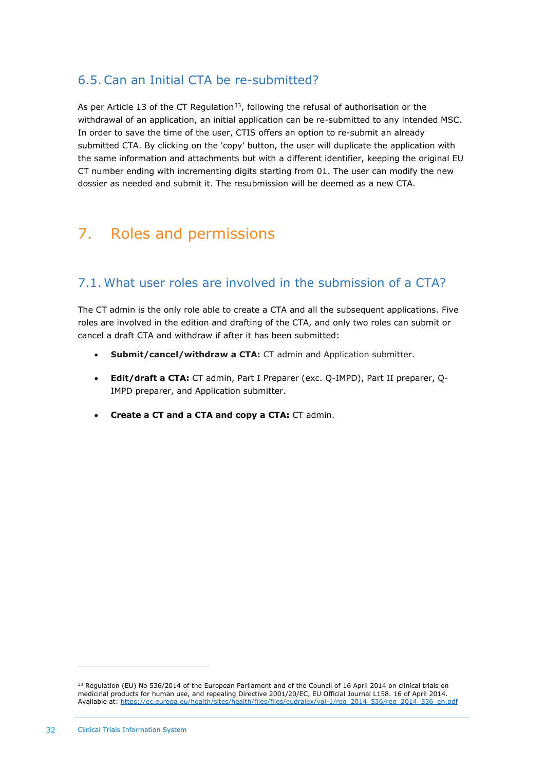#### <span id="page-31-0"></span>6.5. Can an Initial CTA be re-submitted?

As per Article 13 of the CT Regulation<sup>33</sup>, following the refusal of authorisation or the withdrawal of an application, an initial application can be re-submitted to any intended MSC. In order to save the time of the user, CTIS offers an option to re-submit an already submitted CTA. By clicking on the 'copy' button, the user will duplicate the application with the same information and attachments but with a different identifier, keeping the original EU CT number ending with incrementing digits starting from 01. The user can modify the new dossier as needed and submit it. The resubmission will be deemed as a new CTA.

## <span id="page-31-2"></span><span id="page-31-1"></span>7. Roles and permissions

## 7.1. What user roles are involved in the submission of a CTA?

The CT admin is the only role able to create a CTA and all the subsequent applications. Five roles are involved in the edition and drafting of the CTA, and only two roles can submit or cancel a draft CTA and withdraw if after it has been submitted:

- **Submit/cancel/withdraw a CTA:** CT admin and Application submitter.
- **Edit/draft a CTA:** CT admin, Part I Preparer (exc. Q-IMPD), Part II preparer, Q-IMPD preparer, and Application submitter.
- **Create a CT and a CTA and copy a CTA:** CT admin.

 $33$  Regulation (EU) No 536/2014 of the European Parliament and of the Council of 16 April 2014 on clinical trials on medicinal products for human use, and repealing Directive 2001/20/EC, EU Official Journal L158. 16 of April 2014. Available at[: https://ec.europa.eu/health/sites/health/files/files/eudralex/vol-1/reg\\_2014\\_536/reg\\_2014\\_536\\_en.pdf](https://ec.europa.eu/health/sites/health/files/files/eudralex/vol-1/reg_2014_536/reg_2014_536_en.pdf)